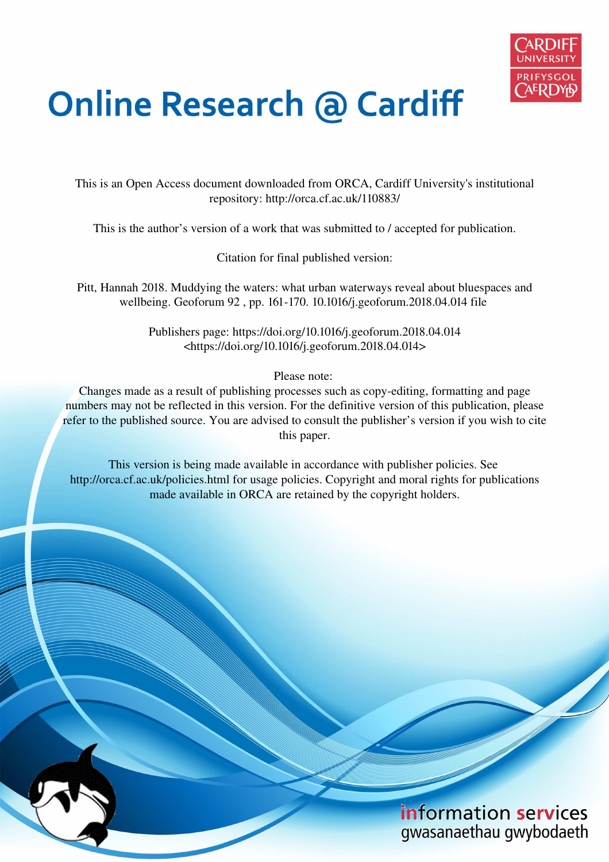

# **Online Research @ Cardiff**

This is an Open Access document downloaded from ORCA, Cardiff University's institutional repository: http://orca.cf.ac.uk/110883/

This is the author's version of a work that was submitted to / accepted for publication.

Citation for final published version:

Pitt, Hannah 2018. Muddying the waters: what urban waterways reveal about bluespaces and wellbeing. Geoforum 92 , pp. 161-170. 10.1016/j.geoforum.2018.04.014 file

> Publishers page: https://doi.org/10.1016/j.geoforum.2018.04.014 <https://doi.org/10.1016/j.geoforum.2018.04.014>

> > Please note:

Changes made as a result of publishing processes such as copy-editing, formatting and page numbers may not be reflected in this version. For the definitive version of this publication, please refer to the published source. You are advised to consult the publisher's version if you wish to cite this paper.

This version is being made available in accordance with publisher policies. See http://orca.cf.ac.uk/policies.html for usage policies. Copyright and moral rights for publications made available in ORCA are retained by the copyright holders.

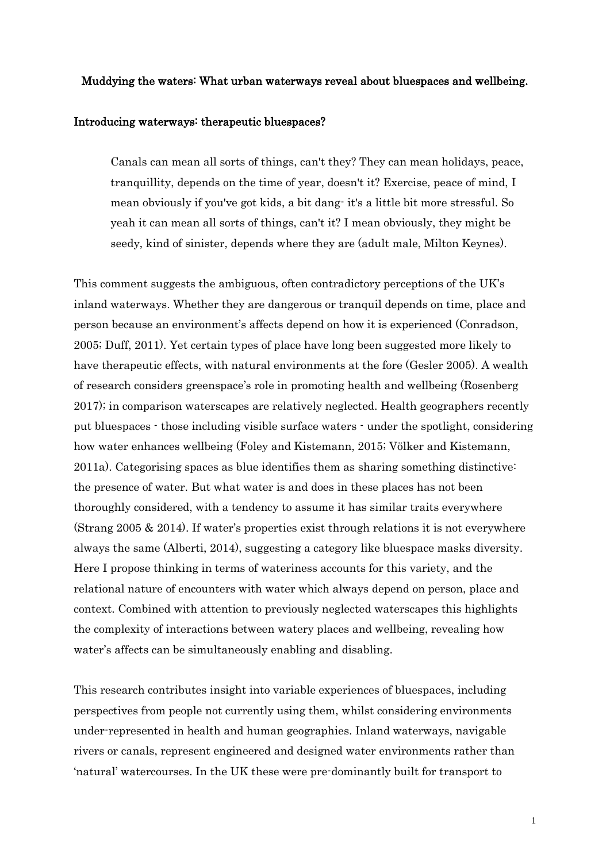## Muddying the waters: What urban waterways reveal about bluespaces and wellbeing.

#### Introducing waterways: therapeutic bluespaces?

Canals can mean all sorts of things, can't they? They can mean holidays, peace, tranquillity, depends on the time of year, doesn't it? Exercise, peace of mind, I mean obviously if you've got kids, a bit dang- it's a little bit more stressful. So yeah it can mean all sorts of things, can't it? I mean obviously, they might be seedy, kind of sinister, depends where they are (adult male, Milton Keynes).

This comment suggests the ambiguous, often contradictory perceptions of the UK's inland waterways. Whether they are dangerous or tranquil depends on time, place and person because an environment's affects depend on how it is experienced (Conradson, 2005; Duff, 2011). Yet certain types of place have long been suggested more likely to have therapeutic effects, with natural environments at the fore (Gesler 2005). A wealth of research considers greenspace's role in promoting health and wellbeing (Rosenberg 2017); in comparison waterscapes are relatively neglected. Health geographers recently put bluespaces - those including visible surface waters - under the spotlight, considering how water enhances wellbeing (Foley and Kistemann, 2015; Völker and Kistemann, 2011a). Categorising spaces as blue identifies them as sharing something distinctive: the presence of water. But what water is and does in these places has not been thoroughly considered, with a tendency to assume it has similar traits everywhere (Strang 2005 & 2014). If water's properties exist through relations it is not everywhere always the same (Alberti, 2014), suggesting a category like bluespace masks diversity. Here I propose thinking in terms of wateriness accounts for this variety, and the relational nature of encounters with water which always depend on person, place and context. Combined with attention to previously neglected waterscapes this highlights the complexity of interactions between watery places and wellbeing, revealing how water's affects can be simultaneously enabling and disabling.

This research contributes insight into variable experiences of bluespaces, including perspectives from people not currently using them, whilst considering environments under-represented in health and human geographies. Inland waterways, navigable rivers or canals, represent engineered and designed water environments rather than 'natural' watercourses. In the UK these were pre-dominantly built for transport to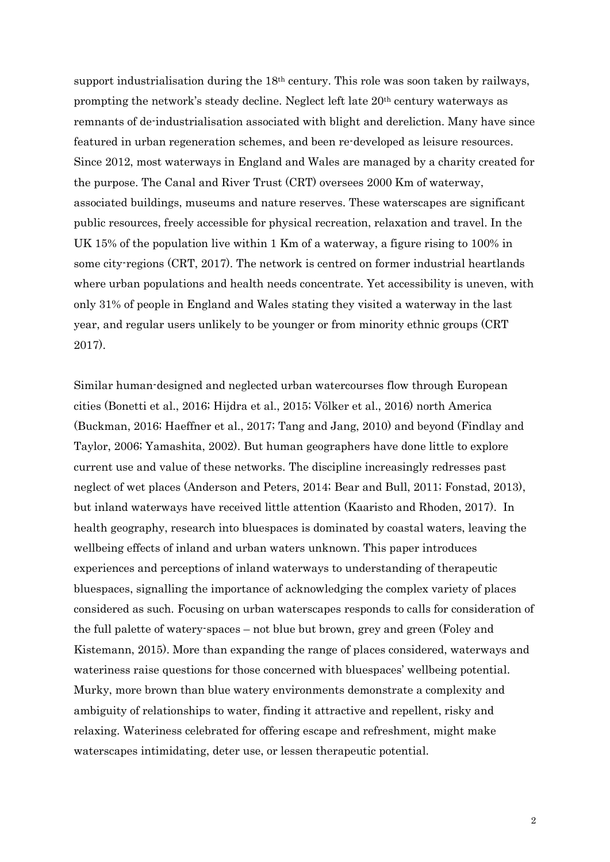support industrialisation during the 18th century. This role was soon taken by railways, prompting the network's steady decline. Neglect left late 20th century waterways as remnants of de-industrialisation associated with blight and dereliction. Many have since featured in urban regeneration schemes, and been re-developed as leisure resources. Since 2012, most waterways in England and Wales are managed by a charity created for the purpose. The Canal and River Trust (CRT) oversees 2000 Km of waterway, associated buildings, museums and nature reserves. These waterscapes are significant public resources, freely accessible for physical recreation, relaxation and travel. In the UK 15% of the population live within 1 Km of a waterway, a figure rising to 100% in some city-regions (CRT, 2017). The network is centred on former industrial heartlands where urban populations and health needs concentrate. Yet accessibility is uneven, with only 31% of people in England and Wales stating they visited a waterway in the last year, and regular users unlikely to be younger or from minority ethnic groups (CRT 2017).

Similar human-designed and neglected urban watercourses flow through European cities (Bonetti et al., 2016; Hijdra et al., 2015; Völker et al., 2016) north America (Buckman, 2016; Haeffner et al., 2017; Tang and Jang, 2010) and beyond (Findlay and Taylor, 2006; Yamashita, 2002). But human geographers have done little to explore current use and value of these networks. The discipline increasingly redresses past neglect of wet places (Anderson and Peters, 2014; Bear and Bull, 2011; Fonstad, 2013), but inland waterways have received little attention (Kaaristo and Rhoden, 2017). In health geography, research into bluespaces is dominated by coastal waters, leaving the wellbeing effects of inland and urban waters unknown. This paper introduces experiences and perceptions of inland waterways to understanding of therapeutic bluespaces, signalling the importance of acknowledging the complex variety of places considered as such. Focusing on urban waterscapes responds to calls for consideration of the full palette of watery-spaces – not blue but brown, grey and green (Foley and Kistemann, 2015). More than expanding the range of places considered, waterways and wateriness raise questions for those concerned with bluespaces' wellbeing potential. Murky, more brown than blue watery environments demonstrate a complexity and ambiguity of relationships to water, finding it attractive and repellent, risky and relaxing. Wateriness celebrated for offering escape and refreshment, might make waterscapes intimidating, deter use, or lessen therapeutic potential.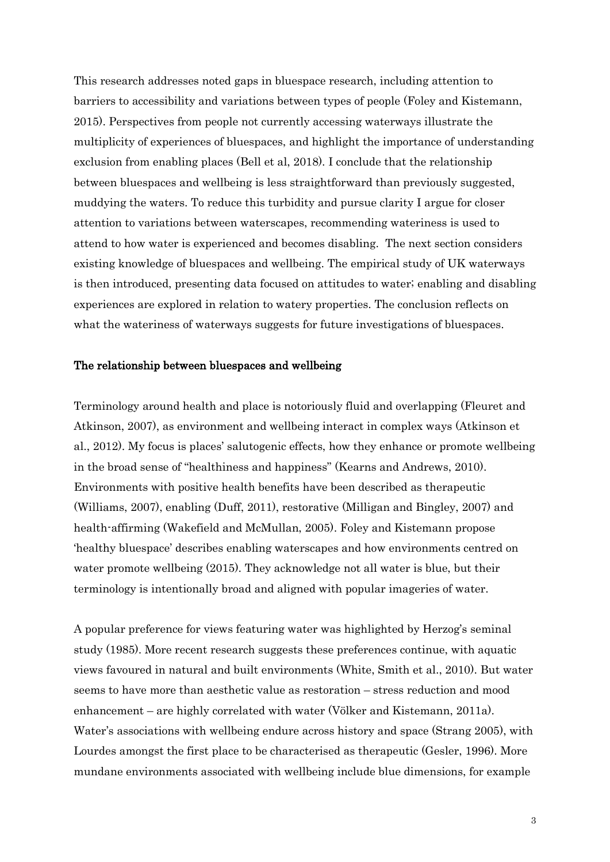This research addresses noted gaps in bluespace research, including attention to barriers to accessibility and variations between types of people (Foley and Kistemann, 2015). Perspectives from people not currently accessing waterways illustrate the multiplicity of experiences of bluespaces, and highlight the importance of understanding exclusion from enabling places (Bell et al, 2018). I conclude that the relationship between bluespaces and wellbeing is less straightforward than previously suggested, muddying the waters. To reduce this turbidity and pursue clarity I argue for closer attention to variations between waterscapes, recommending wateriness is used to attend to how water is experienced and becomes disabling. The next section considers existing knowledge of bluespaces and wellbeing. The empirical study of UK waterways is then introduced, presenting data focused on attitudes to water; enabling and disabling experiences are explored in relation to watery properties. The conclusion reflects on what the wateriness of waterways suggests for future investigations of bluespaces.

## The relationship between bluespaces and wellbeing

Terminology around health and place is notoriously fluid and overlapping (Fleuret and Atkinson, 2007), as environment and wellbeing interact in complex ways (Atkinson et al., 2012). My focus is places' salutogenic effects, how they enhance or promote wellbeing in the broad sense of "healthiness and happiness" (Kearns and Andrews, 2010). Environments with positive health benefits have been described as therapeutic (Williams, 2007), enabling (Duff, 2011), restorative (Milligan and Bingley, 2007) and health-affirming (Wakefield and McMullan, 2005). Foley and Kistemann propose 'healthy bluespace' describes enabling waterscapes and how environments centred on water promote wellbeing (2015). They acknowledge not all water is blue, but their terminology is intentionally broad and aligned with popular imageries of water.

A popular preference for views featuring water was highlighted by Herzog's seminal study (1985). More recent research suggests these preferences continue, with aquatic views favoured in natural and built environments (White, Smith et al., 2010). But water seems to have more than aesthetic value as restoration – stress reduction and mood enhancement – are highly correlated with water (Völker and Kistemann, 2011a). Water's associations with wellbeing endure across history and space (Strang 2005), with Lourdes amongst the first place to be characterised as therapeutic (Gesler, 1996). More mundane environments associated with wellbeing include blue dimensions, for example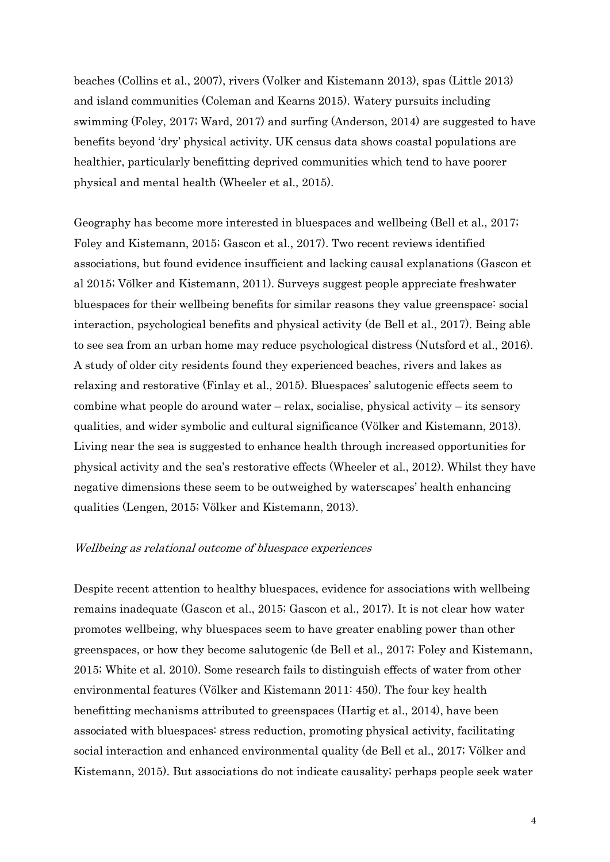beaches (Collins et al., 2007), rivers (Volker and Kistemann 2013), spas (Little 2013) and island communities (Coleman and Kearns 2015). Watery pursuits including swimming (Foley, 2017; Ward, 2017) and surfing (Anderson, 2014) are suggested to have benefits beyond 'dry' physical activity. UK census data shows coastal populations are healthier, particularly benefitting deprived communities which tend to have poorer physical and mental health (Wheeler et al., 2015).

Geography has become more interested in bluespaces and wellbeing (Bell et al., 2017; Foley and Kistemann, 2015; Gascon et al., 2017). Two recent reviews identified associations, but found evidence insufficient and lacking causal explanations (Gascon et al 2015; Völker and Kistemann, 2011). Surveys suggest people appreciate freshwater bluespaces for their wellbeing benefits for similar reasons they value greenspace: social interaction, psychological benefits and physical activity (de Bell et al., 2017). Being able to see sea from an urban home may reduce psychological distress (Nutsford et al., 2016). A study of older city residents found they experienced beaches, rivers and lakes as relaxing and restorative (Finlay et al., 2015). Bluespaces' salutogenic effects seem to combine what people do around water – relax, socialise, physical activity – its sensory qualities, and wider symbolic and cultural significance (Völker and Kistemann, 2013). Living near the sea is suggested to enhance health through increased opportunities for physical activity and the sea's restorative effects (Wheeler et al., 2012). Whilst they have negative dimensions these seem to be outweighed by waterscapes' health enhancing qualities (Lengen, 2015; Völker and Kistemann, 2013).

#### Wellbeing as relational outcome of bluespace experiences

Despite recent attention to healthy bluespaces, evidence for associations with wellbeing remains inadequate (Gascon et al., 2015; Gascon et al., 2017). It is not clear how water promotes wellbeing, why bluespaces seem to have greater enabling power than other greenspaces, or how they become salutogenic (de Bell et al., 2017; Foley and Kistemann, 2015; White et al. 2010). Some research fails to distinguish effects of water from other environmental features (Völker and Kistemann 2011: 450). The four key health benefitting mechanisms attributed to greenspaces (Hartig et al., 2014), have been associated with bluespaces: stress reduction, promoting physical activity, facilitating social interaction and enhanced environmental quality (de Bell et al., 2017; Völker and Kistemann, 2015). But associations do not indicate causality; perhaps people seek water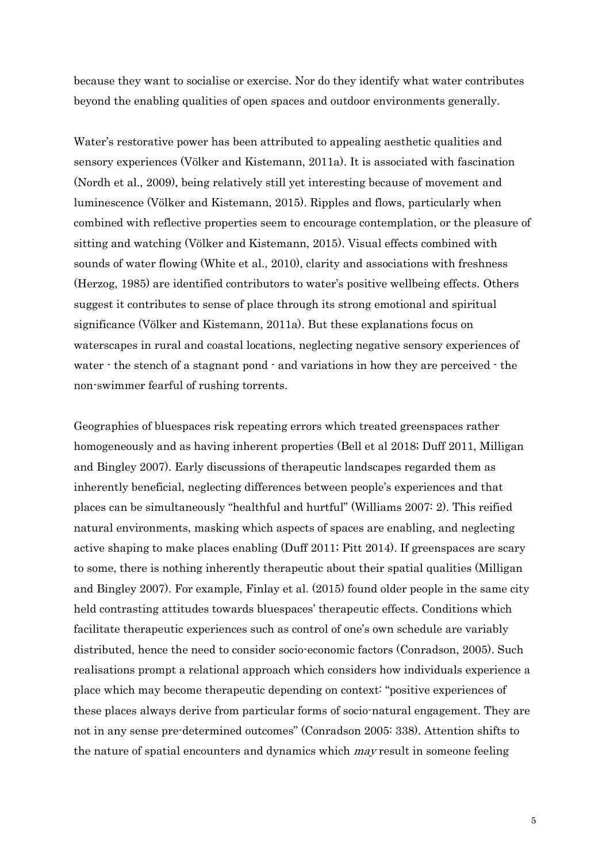because they want to socialise or exercise. Nor do they identify what water contributes beyond the enabling qualities of open spaces and outdoor environments generally.

Water's restorative power has been attributed to appealing aesthetic qualities and sensory experiences (Völker and Kistemann, 2011a). It is associated with fascination (Nordh et al., 2009), being relatively still yet interesting because of movement and luminescence (Völker and Kistemann, 2015). Ripples and flows, particularly when combined with reflective properties seem to encourage contemplation, or the pleasure of sitting and watching (Völker and Kistemann, 2015). Visual effects combined with sounds of water flowing (White et al., 2010), clarity and associations with freshness (Herzog, 1985) are identified contributors to water's positive wellbeing effects. Others suggest it contributes to sense of place through its strong emotional and spiritual significance (Völker and Kistemann, 2011a). But these explanations focus on waterscapes in rural and coastal locations, neglecting negative sensory experiences of water  $\cdot$  the stench of a stagnant pond  $\cdot$  and variations in how they are perceived  $\cdot$  the non-swimmer fearful of rushing torrents.

Geographies of bluespaces risk repeating errors which treated greenspaces rather homogeneously and as having inherent properties (Bell et al 2018; Duff 2011, Milligan and Bingley 2007). Early discussions of therapeutic landscapes regarded them as inherently beneficial, neglecting differences between people's experiences and that places can be simultaneously "healthful and hurtful" (Williams 2007: 2). This reified natural environments, masking which aspects of spaces are enabling, and neglecting active shaping to make places enabling (Duff 2011; Pitt 2014). If greenspaces are scary to some, there is nothing inherently therapeutic about their spatial qualities (Milligan and Bingley 2007). For example, Finlay et al. (2015) found older people in the same city held contrasting attitudes towards bluespaces' therapeutic effects. Conditions which facilitate therapeutic experiences such as control of one's own schedule are variably distributed, hence the need to consider socio-economic factors (Conradson, 2005). Such realisations prompt a relational approach which considers how individuals experience a place which may become therapeutic depending on context: "positive experiences of these places always derive from particular forms of socio-natural engagement. They are not in any sense pre-determined outcomes" (Conradson 2005: 338). Attention shifts to the nature of spatial encounters and dynamics which *may* result in someone feeling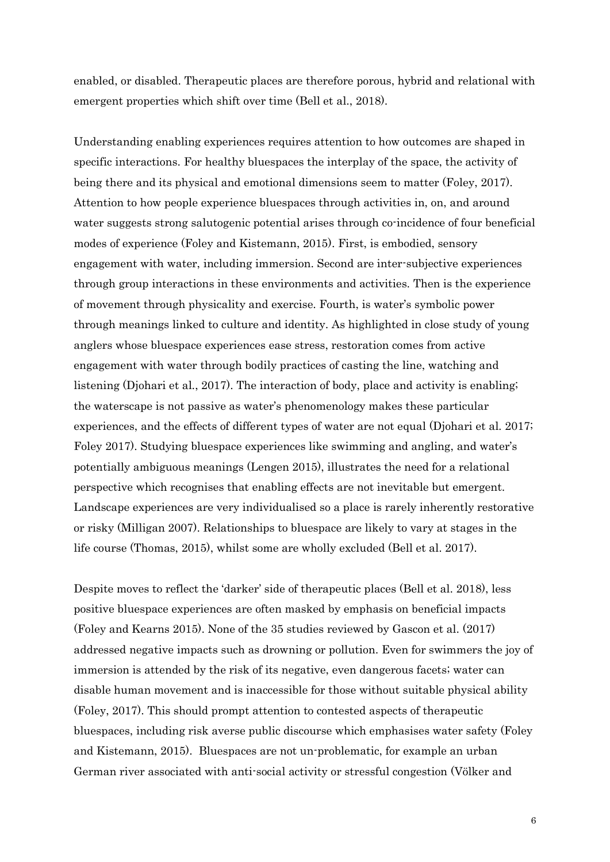enabled, or disabled. Therapeutic places are therefore porous, hybrid and relational with emergent properties which shift over time (Bell et al., 2018).

Understanding enabling experiences requires attention to how outcomes are shaped in specific interactions. For healthy bluespaces the interplay of the space, the activity of being there and its physical and emotional dimensions seem to matter (Foley, 2017). Attention to how people experience bluespaces through activities in, on, and around water suggests strong salutogenic potential arises through co-incidence of four beneficial modes of experience (Foley and Kistemann, 2015). First, is embodied, sensory engagement with water, including immersion. Second are inter-subjective experiences through group interactions in these environments and activities. Then is the experience of movement through physicality and exercise. Fourth, is water's symbolic power through meanings linked to culture and identity. As highlighted in close study of young anglers whose bluespace experiences ease stress, restoration comes from active engagement with water through bodily practices of casting the line, watching and listening (Djohari et al., 2017). The interaction of body, place and activity is enabling; the waterscape is not passive as water's phenomenology makes these particular experiences, and the effects of different types of water are not equal (Djohari et al. 2017; Foley 2017). Studying bluespace experiences like swimming and angling, and water's potentially ambiguous meanings (Lengen 2015), illustrates the need for a relational perspective which recognises that enabling effects are not inevitable but emergent. Landscape experiences are very individualised so a place is rarely inherently restorative or risky (Milligan 2007). Relationships to bluespace are likely to vary at stages in the life course (Thomas, 2015), whilst some are wholly excluded (Bell et al. 2017).

Despite moves to reflect the 'darker' side of therapeutic places (Bell et al. 2018), less positive bluespace experiences are often masked by emphasis on beneficial impacts (Foley and Kearns 2015). None of the 35 studies reviewed by Gascon et al. (2017) addressed negative impacts such as drowning or pollution. Even for swimmers the joy of immersion is attended by the risk of its negative, even dangerous facets; water can disable human movement and is inaccessible for those without suitable physical ability (Foley, 2017). This should prompt attention to contested aspects of therapeutic bluespaces, including risk averse public discourse which emphasises water safety (Foley and Kistemann, 2015). Bluespaces are not un-problematic, for example an urban German river associated with anti-social activity or stressful congestion (Völker and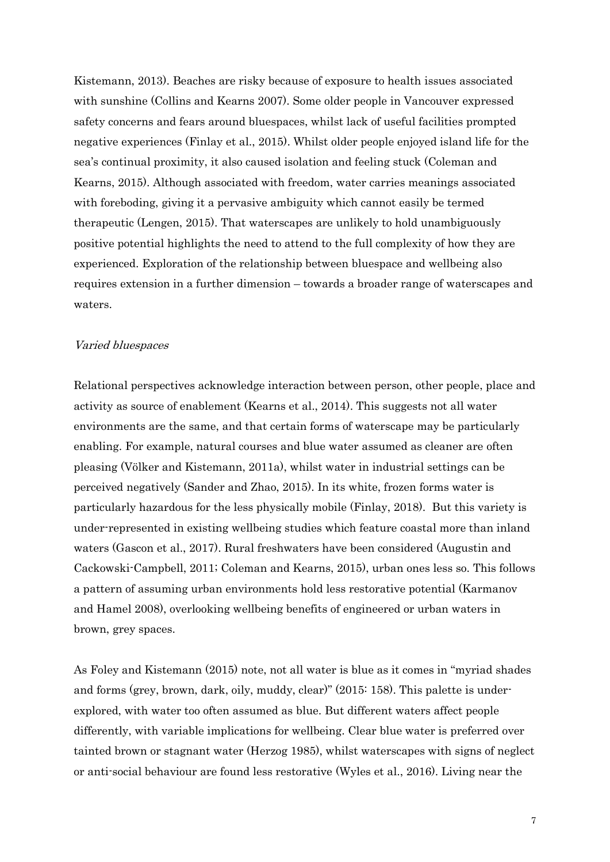Kistemann, 2013). Beaches are risky because of exposure to health issues associated with sunshine (Collins and Kearns 2007). Some older people in Vancouver expressed safety concerns and fears around bluespaces, whilst lack of useful facilities prompted negative experiences (Finlay et al., 2015). Whilst older people enjoyed island life for the sea's continual proximity, it also caused isolation and feeling stuck (Coleman and Kearns, 2015). Although associated with freedom, water carries meanings associated with foreboding, giving it a pervasive ambiguity which cannot easily be termed therapeutic (Lengen, 2015). That waterscapes are unlikely to hold unambiguously positive potential highlights the need to attend to the full complexity of how they are experienced. Exploration of the relationship between bluespace and wellbeing also requires extension in a further dimension – towards a broader range of waterscapes and waters.

#### Varied bluespaces

Relational perspectives acknowledge interaction between person, other people, place and activity as source of enablement (Kearns et al., 2014). This suggests not all water environments are the same, and that certain forms of waterscape may be particularly enabling. For example, natural courses and blue water assumed as cleaner are often pleasing (Völker and Kistemann, 2011a), whilst water in industrial settings can be perceived negatively (Sander and Zhao, 2015). In its white, frozen forms water is particularly hazardous for the less physically mobile (Finlay, 2018). But this variety is under-represented in existing wellbeing studies which feature coastal more than inland waters (Gascon et al., 2017). Rural freshwaters have been considered (Augustin and Cackowski-Campbell, 2011; Coleman and Kearns, 2015), urban ones less so. This follows a pattern of assuming urban environments hold less restorative potential (Karmanov and Hamel 2008), overlooking wellbeing benefits of engineered or urban waters in brown, grey spaces.

As Foley and Kistemann (2015) note, not all water is blue as it comes in "myriad shades and forms (grey, brown, dark, oily, muddy, clear)" (2015: 158). This palette is underexplored, with water too often assumed as blue. But different waters affect people differently, with variable implications for wellbeing. Clear blue water is preferred over tainted brown or stagnant water (Herzog 1985), whilst waterscapes with signs of neglect or anti-social behaviour are found less restorative (Wyles et al., 2016). Living near the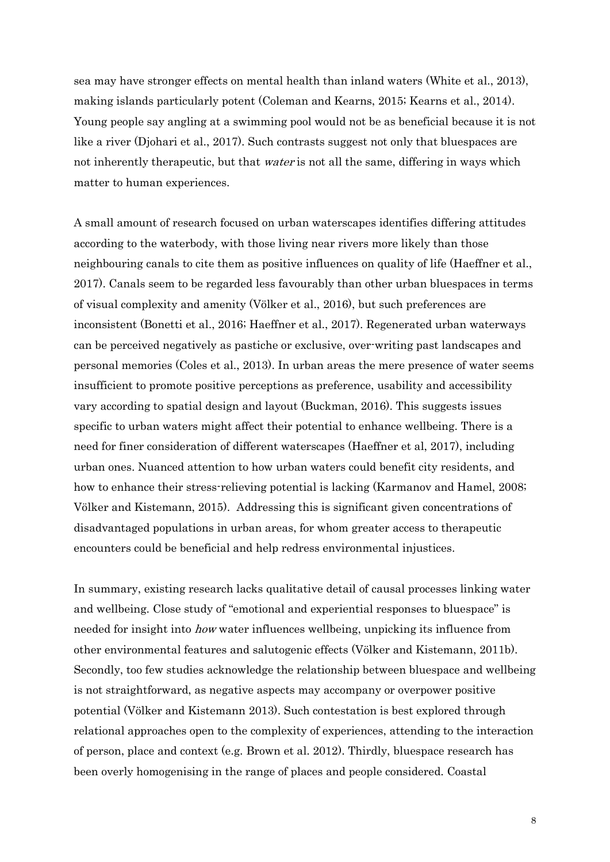sea may have stronger effects on mental health than inland waters (White et al., 2013), making islands particularly potent (Coleman and Kearns, 2015; Kearns et al., 2014). Young people say angling at a swimming pool would not be as beneficial because it is not like a river (Djohari et al., 2017). Such contrasts suggest not only that bluespaces are not inherently therapeutic, but that *water* is not all the same, differing in ways which matter to human experiences.

A small amount of research focused on urban waterscapes identifies differing attitudes according to the waterbody, with those living near rivers more likely than those neighbouring canals to cite them as positive influences on quality of life (Haeffner et al., 2017). Canals seem to be regarded less favourably than other urban bluespaces in terms of visual complexity and amenity (Völker et al., 2016), but such preferences are inconsistent (Bonetti et al., 2016; Haeffner et al., 2017). Regenerated urban waterways can be perceived negatively as pastiche or exclusive, over-writing past landscapes and personal memories (Coles et al., 2013). In urban areas the mere presence of water seems insufficient to promote positive perceptions as preference, usability and accessibility vary according to spatial design and layout (Buckman, 2016). This suggests issues specific to urban waters might affect their potential to enhance wellbeing. There is a need for finer consideration of different waterscapes (Haeffner et al, 2017), including urban ones. Nuanced attention to how urban waters could benefit city residents, and how to enhance their stress-relieving potential is lacking (Karmanov and Hamel, 2008; Völker and Kistemann, 2015). Addressing this is significant given concentrations of disadvantaged populations in urban areas, for whom greater access to therapeutic encounters could be beneficial and help redress environmental injustices.

In summary, existing research lacks qualitative detail of causal processes linking water and wellbeing. Close study of "emotional and experiential responses to bluespace" is needed for insight into how water influences wellbeing, unpicking its influence from other environmental features and salutogenic effects (Völker and Kistemann, 2011b). Secondly, too few studies acknowledge the relationship between bluespace and wellbeing is not straightforward, as negative aspects may accompany or overpower positive potential (Völker and Kistemann 2013). Such contestation is best explored through relational approaches open to the complexity of experiences, attending to the interaction of person, place and context (e.g. Brown et al. 2012). Thirdly, bluespace research has been overly homogenising in the range of places and people considered. Coastal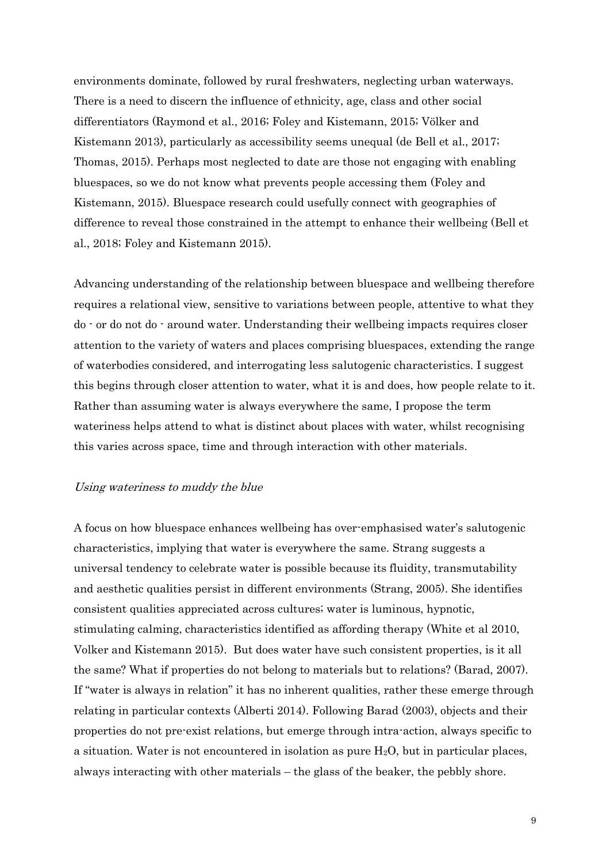environments dominate, followed by rural freshwaters, neglecting urban waterways. There is a need to discern the influence of ethnicity, age, class and other social differentiators (Raymond et al., 2016; Foley and Kistemann, 2015; Völker and Kistemann 2013), particularly as accessibility seems unequal (de Bell et al., 2017; Thomas, 2015). Perhaps most neglected to date are those not engaging with enabling bluespaces, so we do not know what prevents people accessing them (Foley and Kistemann, 2015). Bluespace research could usefully connect with geographies of difference to reveal those constrained in the attempt to enhance their wellbeing (Bell et al., 2018; Foley and Kistemann 2015).

Advancing understanding of the relationship between bluespace and wellbeing therefore requires a relational view, sensitive to variations between people, attentive to what they do - or do not do - around water. Understanding their wellbeing impacts requires closer attention to the variety of waters and places comprising bluespaces, extending the range of waterbodies considered, and interrogating less salutogenic characteristics. I suggest this begins through closer attention to water, what it is and does, how people relate to it. Rather than assuming water is always everywhere the same, I propose the term wateriness helps attend to what is distinct about places with water, whilst recognising this varies across space, time and through interaction with other materials.

#### Using wateriness to muddy the blue

A focus on how bluespace enhances wellbeing has over-emphasised water's salutogenic characteristics, implying that water is everywhere the same. Strang suggests a universal tendency to celebrate water is possible because its fluidity, transmutability and aesthetic qualities persist in different environments (Strang, 2005). She identifies consistent qualities appreciated across cultures; water is luminous, hypnotic, stimulating calming, characteristics identified as affording therapy (White et al 2010, Volker and Kistemann 2015). But does water have such consistent properties, is it all the same? What if properties do not belong to materials but to relations? (Barad, 2007). If "water is always in relation" it has no inherent qualities, rather these emerge through relating in particular contexts (Alberti 2014). Following Barad (2003), objects and their properties do not pre-exist relations, but emerge through intra-action, always specific to a situation. Water is not encountered in isolation as pure  $H_2O$ , but in particular places, always interacting with other materials – the glass of the beaker, the pebbly shore.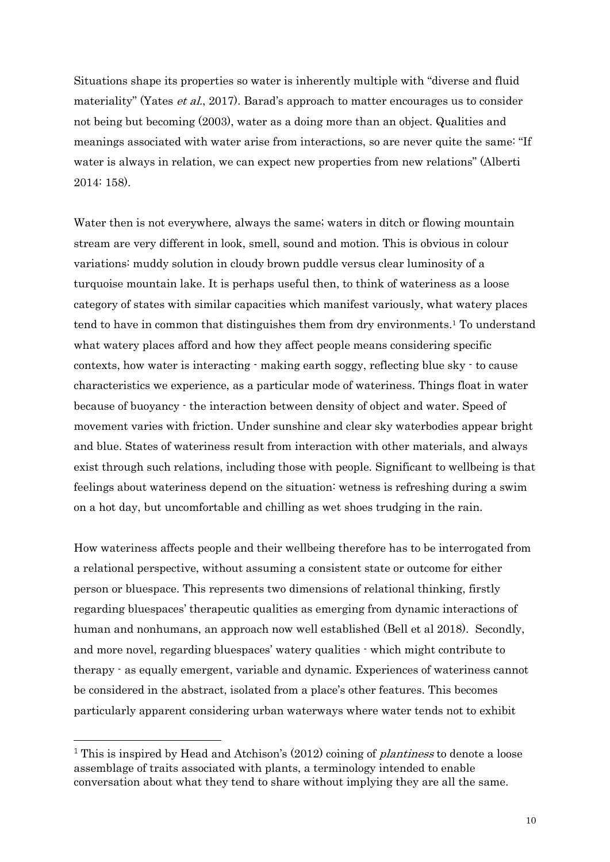Situations shape its properties so water is inherently multiple with "diverse and fluid materiality" (Yates *et al.*, 2017). Barad's approach to matter encourages us to consider not being but becoming (2003), water as a doing more than an object. Qualities and meanings associated with water arise from interactions, so are never quite the same: "If water is always in relation, we can expect new properties from new relations" (Alberti 2014: 158).

Water then is not everywhere, always the same; waters in ditch or flowing mountain stream are very different in look, smell, sound and motion. This is obvious in colour variations: muddy solution in cloudy brown puddle versus clear luminosity of a turquoise mountain lake. It is perhaps useful then, to think of wateriness as a loose category of states with similar capacities which manifest variously, what watery places tend to have in common that distinguishes them from dry environments.<sup>1</sup> To understand what watery places afford and how they affect people means considering specific contexts, how water is interacting - making earth soggy, reflecting blue sky - to cause characteristics we experience, as a particular mode of wateriness. Things float in water because of buoyancy - the interaction between density of object and water. Speed of movement varies with friction. Under sunshine and clear sky waterbodies appear bright and blue. States of wateriness result from interaction with other materials, and always exist through such relations, including those with people. Significant to wellbeing is that feelings about wateriness depend on the situation: wetness is refreshing during a swim on a hot day, but uncomfortable and chilling as wet shoes trudging in the rain.

How wateriness affects people and their wellbeing therefore has to be interrogated from a relational perspective, without assuming a consistent state or outcome for either person or bluespace. This represents two dimensions of relational thinking, firstly regarding bluespaces' therapeutic qualities as emerging from dynamic interactions of human and nonhumans, an approach now well established (Bell et al 2018). Secondly, and more novel, regarding bluespaces' watery qualities - which might contribute to therapy - as equally emergent, variable and dynamic. Experiences of wateriness cannot be considered in the abstract, isolated from a place's other features. This becomes particularly apparent considering urban waterways where water tends not to exhibit

 $\overline{a}$ 

<sup>&</sup>lt;sup>1</sup> This is inspired by Head and Atchison's  $(2012)$  coining of *plantiness* to denote a loose assemblage of traits associated with plants, a terminology intended to enable conversation about what they tend to share without implying they are all the same.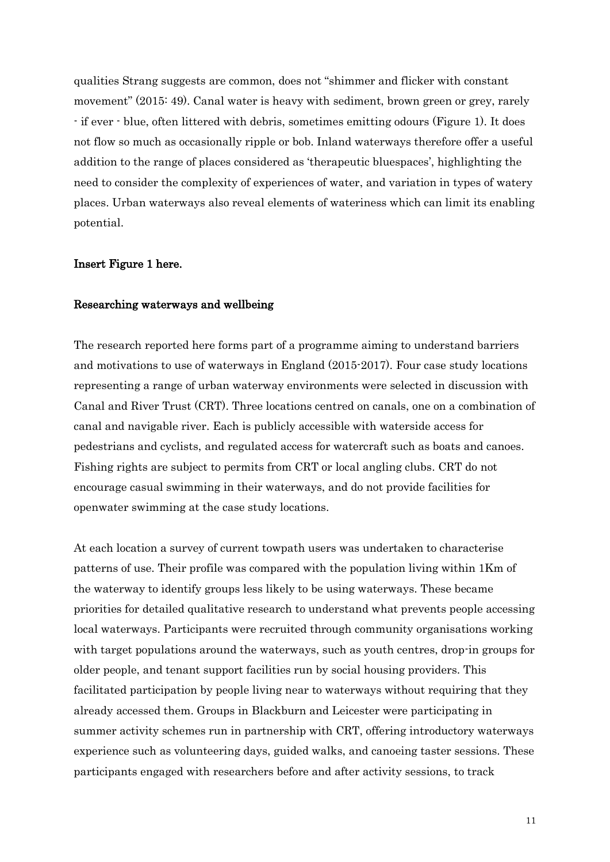qualities Strang suggests are common, does not "shimmer and flicker with constant movement" (2015: 49). Canal water is heavy with sediment, brown green or grey, rarely - if ever - blue, often littered with debris, sometimes emitting odours (Figure 1). It does not flow so much as occasionally ripple or bob. Inland waterways therefore offer a useful addition to the range of places considered as 'therapeutic bluespaces', highlighting the need to consider the complexity of experiences of water, and variation in types of watery places. Urban waterways also reveal elements of wateriness which can limit its enabling potential.

## Insert Figure 1 here.

#### Researching waterways and wellbeing

The research reported here forms part of a programme aiming to understand barriers and motivations to use of waterways in England (2015-2017). Four case study locations representing a range of urban waterway environments were selected in discussion with Canal and River Trust (CRT). Three locations centred on canals, one on a combination of canal and navigable river. Each is publicly accessible with waterside access for pedestrians and cyclists, and regulated access for watercraft such as boats and canoes. Fishing rights are subject to permits from CRT or local angling clubs. CRT do not encourage casual swimming in their waterways, and do not provide facilities for openwater swimming at the case study locations.

At each location a survey of current towpath users was undertaken to characterise patterns of use. Their profile was compared with the population living within 1Km of the waterway to identify groups less likely to be using waterways. These became priorities for detailed qualitative research to understand what prevents people accessing local waterways. Participants were recruited through community organisations working with target populations around the waterways, such as youth centres, drop-in groups for older people, and tenant support facilities run by social housing providers. This facilitated participation by people living near to waterways without requiring that they already accessed them. Groups in Blackburn and Leicester were participating in summer activity schemes run in partnership with CRT, offering introductory waterways experience such as volunteering days, guided walks, and canoeing taster sessions. These participants engaged with researchers before and after activity sessions, to track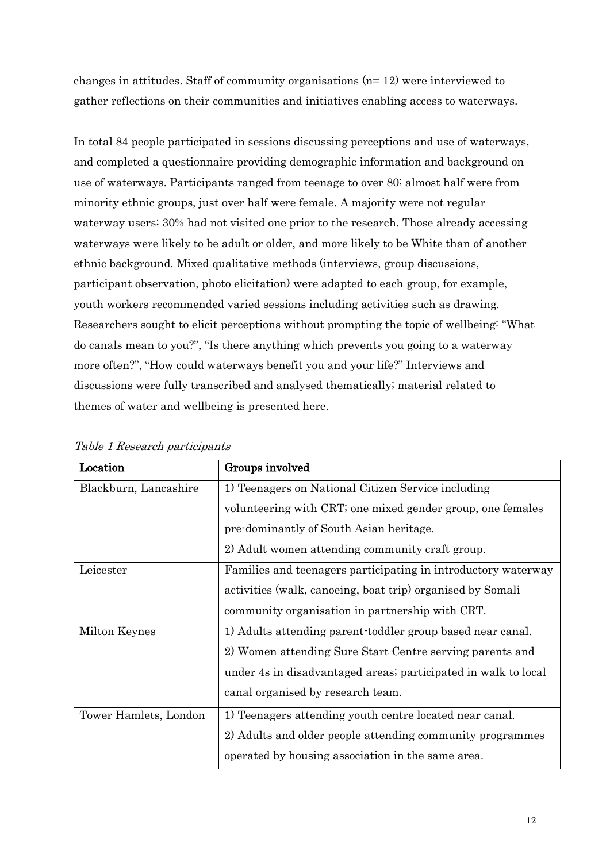changes in attitudes. Staff of community organisations (n= 12) were interviewed to gather reflections on their communities and initiatives enabling access to waterways.

In total 84 people participated in sessions discussing perceptions and use of waterways, and completed a questionnaire providing demographic information and background on use of waterways. Participants ranged from teenage to over 80; almost half were from minority ethnic groups, just over half were female. A majority were not regular waterway users; 30% had not visited one prior to the research. Those already accessing waterways were likely to be adult or older, and more likely to be White than of another ethnic background. Mixed qualitative methods (interviews, group discussions, participant observation, photo elicitation) were adapted to each group, for example, youth workers recommended varied sessions including activities such as drawing. Researchers sought to elicit perceptions without prompting the topic of wellbeing: "What do canals mean to you?", "Is there anything which prevents you going to a waterway more often?", "How could waterways benefit you and your life?" Interviews and discussions were fully transcribed and analysed thematically; material related to themes of water and wellbeing is presented here.

| Location              | Groups involved                                                |
|-----------------------|----------------------------------------------------------------|
| Blackburn, Lancashire | 1) Teenagers on National Citizen Service including             |
|                       | volunteering with CRT; one mixed gender group, one females     |
|                       | pre-dominantly of South Asian heritage.                        |
|                       | 2) Adult women attending community craft group.                |
| Leicester             | Families and teenagers participating in introductory waterway  |
|                       | activities (walk, canoeing, boat trip) organised by Somali     |
|                       | community organisation in partnership with CRT.                |
| Milton Keynes         | 1) Adults attending parent-toddler group based near canal.     |
|                       | 2) Women attending Sure Start Centre serving parents and       |
|                       | under 4s in disadvantaged areas; participated in walk to local |
|                       | canal organised by research team.                              |
| Tower Hamlets, London | 1) Teenagers attending youth centre located near canal.        |
|                       | 2) Adults and older people attending community programmes      |
|                       | operated by housing association in the same area.              |

Table 1 Research participants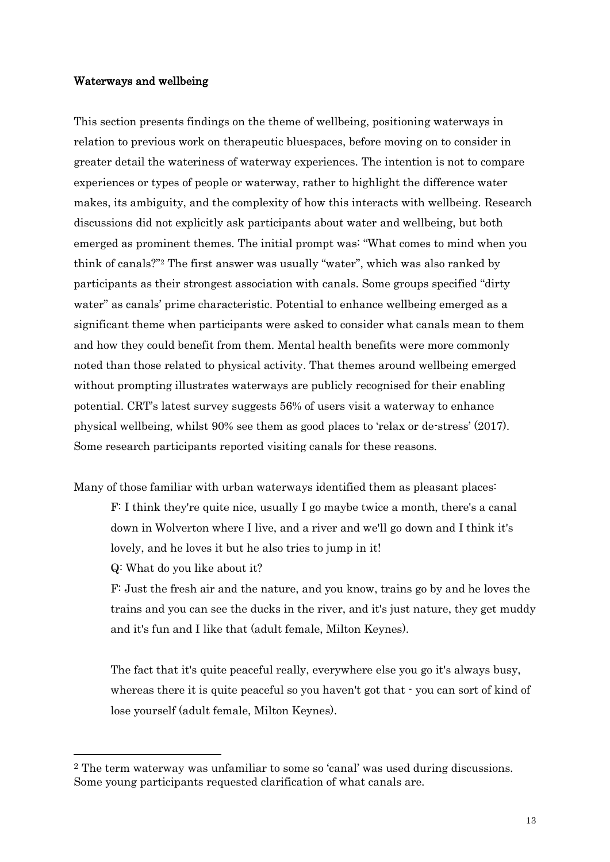## Waterways and wellbeing

This section presents findings on the theme of wellbeing, positioning waterways in relation to previous work on therapeutic bluespaces, before moving on to consider in greater detail the wateriness of waterway experiences. The intention is not to compare experiences or types of people or waterway, rather to highlight the difference water makes, its ambiguity, and the complexity of how this interacts with wellbeing. Research discussions did not explicitly ask participants about water and wellbeing, but both emerged as prominent themes. The initial prompt was: "What comes to mind when you think of canals?"<sup>2</sup> The first answer was usually "water", which was also ranked by participants as their strongest association with canals. Some groups specified "dirty water" as canals' prime characteristic. Potential to enhance wellbeing emerged as a significant theme when participants were asked to consider what canals mean to them and how they could benefit from them. Mental health benefits were more commonly noted than those related to physical activity. That themes around wellbeing emerged without prompting illustrates waterways are publicly recognised for their enabling potential. CRT's latest survey suggests 56% of users visit a waterway to enhance physical wellbeing, whilst 90% see them as good places to 'relax or de-stress' (2017). Some research participants reported visiting canals for these reasons.

Many of those familiar with urban waterways identified them as pleasant places:

F: I think they're quite nice, usually I go maybe twice a month, there's a canal down in Wolverton where I live, and a river and we'll go down and I think it's lovely, and he loves it but he also tries to jump in it!

Q: What do you like about it?

 $\overline{a}$ 

F: Just the fresh air and the nature, and you know, trains go by and he loves the trains and you can see the ducks in the river, and it's just nature, they get muddy and it's fun and I like that (adult female, Milton Keynes).

The fact that it's quite peaceful really, everywhere else you go it's always busy, whereas there it is quite peaceful so you haven't got that - you can sort of kind of lose yourself (adult female, Milton Keynes).

<sup>2</sup> The term waterway was unfamiliar to some so 'canal' was used during discussions. Some young participants requested clarification of what canals are.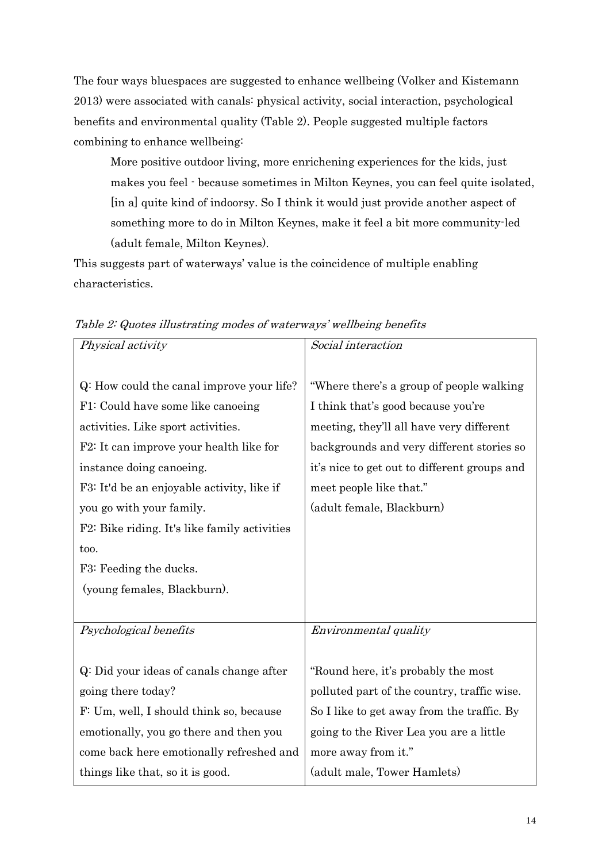The four ways bluespaces are suggested to enhance wellbeing (Volker and Kistemann 2013) were associated with canals: physical activity, social interaction, psychological benefits and environmental quality (Table 2). People suggested multiple factors combining to enhance wellbeing:

More positive outdoor living, more enrichening experiences for the kids, just makes you feel - because sometimes in Milton Keynes, you can feel quite isolated, [in a] quite kind of indoorsy. So I think it would just provide another aspect of something more to do in Milton Keynes, make it feel a bit more community-led (adult female, Milton Keynes).

This suggests part of waterways' value is the coincidence of multiple enabling characteristics.

| Physical activity                            | Social interaction                           |
|----------------------------------------------|----------------------------------------------|
|                                              |                                              |
| Q: How could the canal improve your life?    | "Where there's a group of people walking"    |
| F1: Could have some like canoeing            | I think that's good because you're           |
| activities. Like sport activities.           | meeting, they'll all have very different     |
| F2: It can improve your health like for      | backgrounds and very different stories so    |
| instance doing canoeing.                     | it's nice to get out to different groups and |
| F3: It'd be an enjoyable activity, like if   | meet people like that."                      |
| you go with your family.                     | (adult female, Blackburn)                    |
| F2: Bike riding. It's like family activities |                                              |
| too.                                         |                                              |
| F3: Feeding the ducks.                       |                                              |
| (young females, Blackburn).                  |                                              |
|                                              |                                              |
| Psychological benefits                       | Environmental quality                        |
|                                              |                                              |
| Q: Did your ideas of canals change after     | "Round here, it's probably the most          |
| going there today?                           | polluted part of the country, traffic wise.  |
| F: Um, well, I should think so, because      | So I like to get away from the traffic. By   |
| emotionally, you go there and then you       | going to the River Lea you are a little      |
| come back here emotionally refreshed and     | more away from it."                          |
| things like that, so it is good.             | (adult male, Tower Hamlets)                  |

Table 2: Quotes illustrating modes of waterways' wellbeing benefits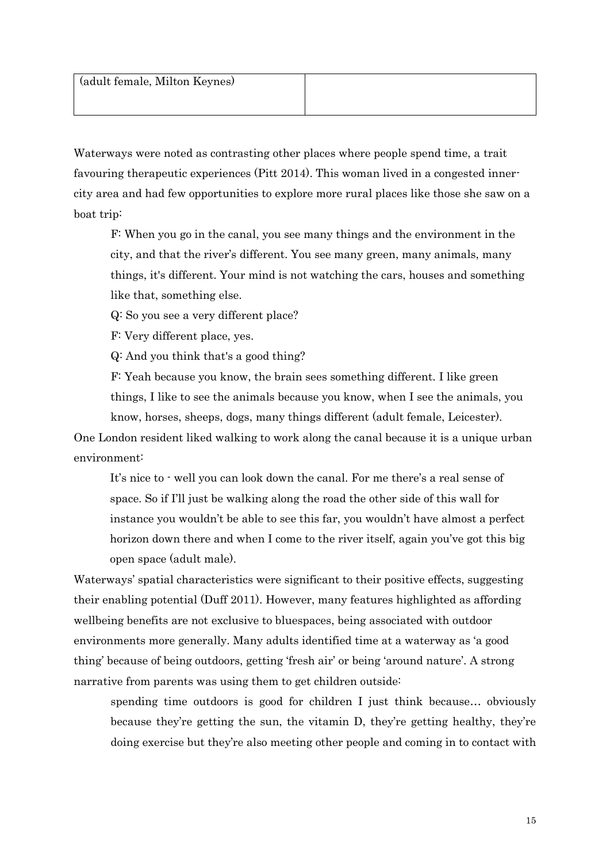(adult female, Milton Keynes)

Waterways were noted as contrasting other places where people spend time, a trait favouring therapeutic experiences (Pitt 2014). This woman lived in a congested innercity area and had few opportunities to explore more rural places like those she saw on a boat trip:

F: When you go in the canal, you see many things and the environment in the city, and that the river's different. You see many green, many animals, many things, it's different. Your mind is not watching the cars, houses and something like that, something else.

Q: So you see a very different place?

F: Very different place, yes.

Q: And you think that's a good thing?

F: Yeah because you know, the brain sees something different. I like green things, I like to see the animals because you know, when I see the animals, you know, horses, sheeps, dogs, many things different (adult female, Leicester).

One London resident liked walking to work along the canal because it is a unique urban environment:

It's nice to - well you can look down the canal. For me there's a real sense of space. So if I'll just be walking along the road the other side of this wall for instance you wouldn't be able to see this far, you wouldn't have almost a perfect horizon down there and when I come to the river itself, again you've got this big open space (adult male).

Waterways' spatial characteristics were significant to their positive effects, suggesting their enabling potential (Duff 2011). However, many features highlighted as affording wellbeing benefits are not exclusive to bluespaces, being associated with outdoor environments more generally. Many adults identified time at a waterway as 'a good thing' because of being outdoors, getting 'fresh air' or being 'around nature'. A strong narrative from parents was using them to get children outside:

spending time outdoors is good for children I just think because… obviously because they're getting the sun, the vitamin D, they're getting healthy, they're doing exercise but they're also meeting other people and coming in to contact with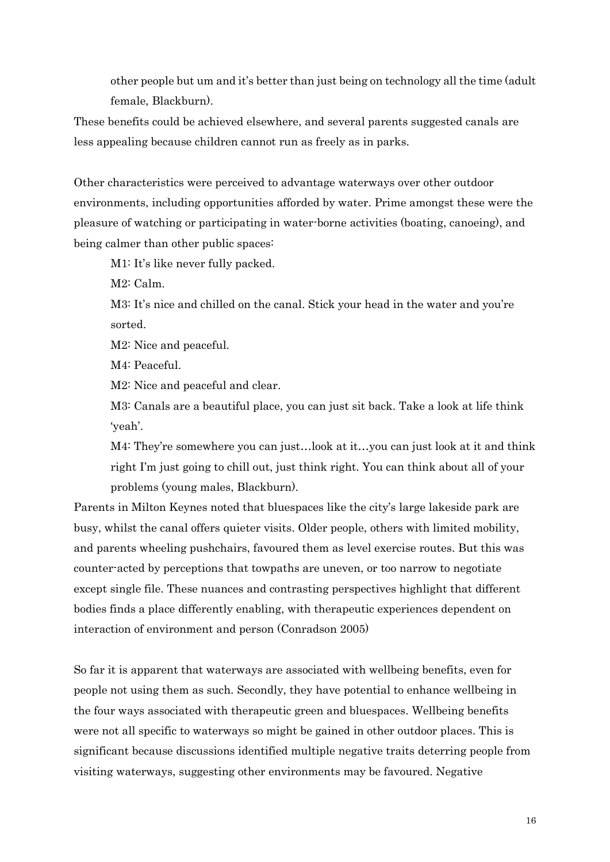other people but um and it's better than just being on technology all the time (adult female, Blackburn).

These benefits could be achieved elsewhere, and several parents suggested canals are less appealing because children cannot run as freely as in parks.

Other characteristics were perceived to advantage waterways over other outdoor environments, including opportunities afforded by water. Prime amongst these were the pleasure of watching or participating in water-borne activities (boating, canoeing), and being calmer than other public spaces:

M1: It's like never fully packed.

M2: Calm.

M3: It's nice and chilled on the canal. Stick your head in the water and you're sorted.

M2: Nice and peaceful.

M4: Peaceful.

M2: Nice and peaceful and clear.

M3: Canals are a beautiful place, you can just sit back. Take a look at life think 'yeah'.

M4: They're somewhere you can just…look at it…you can just look at it and think right I'm just going to chill out, just think right. You can think about all of your problems (young males, Blackburn).

Parents in Milton Keynes noted that bluespaces like the city's large lakeside park are busy, whilst the canal offers quieter visits. Older people, others with limited mobility, and parents wheeling pushchairs, favoured them as level exercise routes. But this was counter-acted by perceptions that towpaths are uneven, or too narrow to negotiate except single file. These nuances and contrasting perspectives highlight that different bodies finds a place differently enabling, with therapeutic experiences dependent on interaction of environment and person (Conradson 2005)

So far it is apparent that waterways are associated with wellbeing benefits, even for people not using them as such. Secondly, they have potential to enhance wellbeing in the four ways associated with therapeutic green and bluespaces. Wellbeing benefits were not all specific to waterways so might be gained in other outdoor places. This is significant because discussions identified multiple negative traits deterring people from visiting waterways, suggesting other environments may be favoured. Negative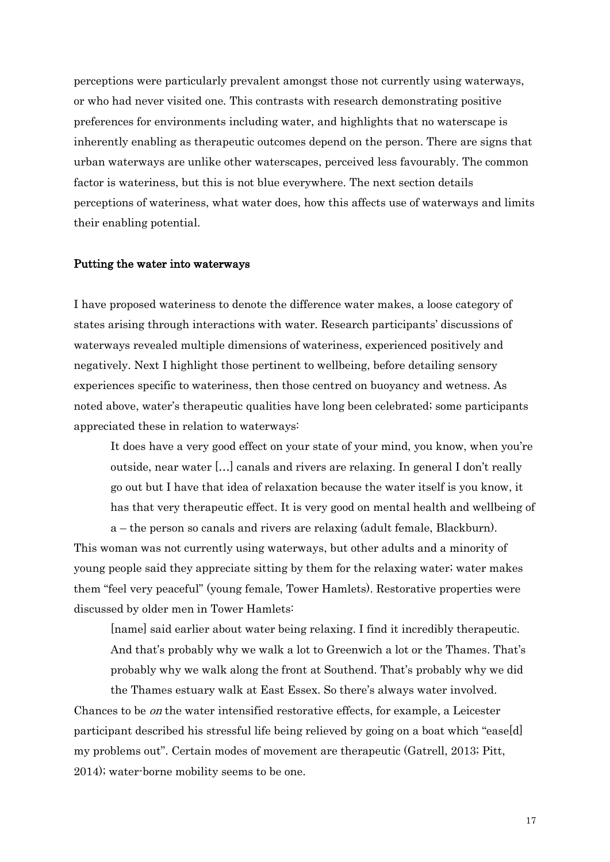perceptions were particularly prevalent amongst those not currently using waterways, or who had never visited one. This contrasts with research demonstrating positive preferences for environments including water, and highlights that no waterscape is inherently enabling as therapeutic outcomes depend on the person. There are signs that urban waterways are unlike other waterscapes, perceived less favourably. The common factor is wateriness, but this is not blue everywhere. The next section details perceptions of wateriness, what water does, how this affects use of waterways and limits their enabling potential.

## Putting the water into waterways

I have proposed wateriness to denote the difference water makes, a loose category of states arising through interactions with water. Research participants' discussions of waterways revealed multiple dimensions of wateriness, experienced positively and negatively. Next I highlight those pertinent to wellbeing, before detailing sensory experiences specific to wateriness, then those centred on buoyancy and wetness. As noted above, water's therapeutic qualities have long been celebrated; some participants appreciated these in relation to waterways:

It does have a very good effect on your state of your mind, you know, when you're outside, near water […] canals and rivers are relaxing. In general I don't really go out but I have that idea of relaxation because the water itself is you know, it has that very therapeutic effect. It is very good on mental health and wellbeing of a – the person so canals and rivers are relaxing (adult female, Blackburn).

This woman was not currently using waterways, but other adults and a minority of young people said they appreciate sitting by them for the relaxing water; water makes them "feel very peaceful" (young female, Tower Hamlets). Restorative properties were discussed by older men in Tower Hamlets:

[name] said earlier about water being relaxing. I find it incredibly therapeutic. And that's probably why we walk a lot to Greenwich a lot or the Thames. That's probably why we walk along the front at Southend. That's probably why we did the Thames estuary walk at East Essex. So there's always water involved.

Chances to be on the water intensified restorative effects, for example, a Leicester participant described his stressful life being relieved by going on a boat which "ease[d] my problems out". Certain modes of movement are therapeutic (Gatrell, 2013; Pitt, 2014); water-borne mobility seems to be one.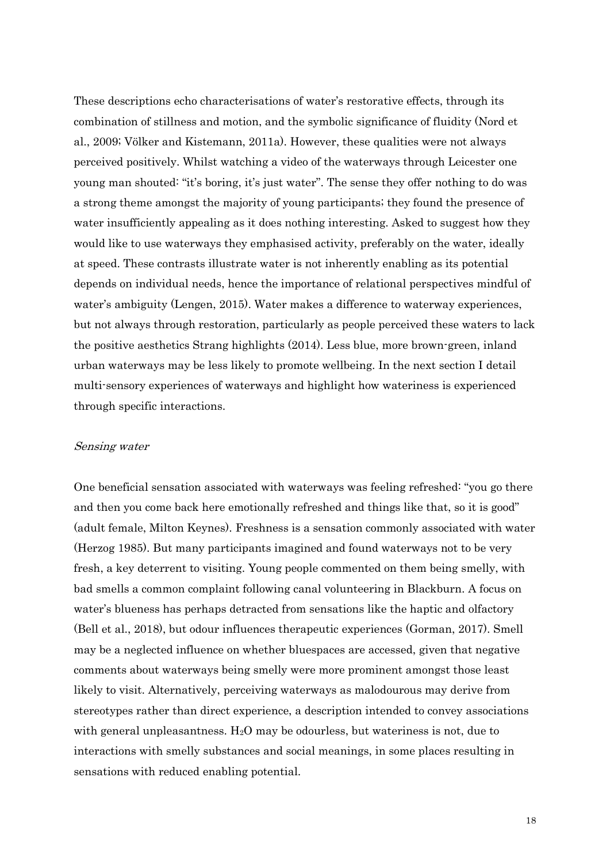These descriptions echo characterisations of water's restorative effects, through its combination of stillness and motion, and the symbolic significance of fluidity (Nord et al., 2009; Völker and Kistemann, 2011a). However, these qualities were not always perceived positively. Whilst watching a video of the waterways through Leicester one young man shouted: "it's boring, it's just water". The sense they offer nothing to do was a strong theme amongst the majority of young participants; they found the presence of water insufficiently appealing as it does nothing interesting. Asked to suggest how they would like to use waterways they emphasised activity, preferably on the water, ideally at speed. These contrasts illustrate water is not inherently enabling as its potential depends on individual needs, hence the importance of relational perspectives mindful of water's ambiguity (Lengen, 2015). Water makes a difference to waterway experiences, but not always through restoration, particularly as people perceived these waters to lack the positive aesthetics Strang highlights (2014). Less blue, more brown-green, inland urban waterways may be less likely to promote wellbeing. In the next section I detail multi-sensory experiences of waterways and highlight how wateriness is experienced through specific interactions.

#### Sensing water

One beneficial sensation associated with waterways was feeling refreshed: "you go there and then you come back here emotionally refreshed and things like that, so it is good" (adult female, Milton Keynes). Freshness is a sensation commonly associated with water (Herzog 1985). But many participants imagined and found waterways not to be very fresh, a key deterrent to visiting. Young people commented on them being smelly, with bad smells a common complaint following canal volunteering in Blackburn. A focus on water's blueness has perhaps detracted from sensations like the haptic and olfactory (Bell et al., 2018), but odour influences therapeutic experiences (Gorman, 2017). Smell may be a neglected influence on whether bluespaces are accessed, given that negative comments about waterways being smelly were more prominent amongst those least likely to visit. Alternatively, perceiving waterways as malodourous may derive from stereotypes rather than direct experience, a description intended to convey associations with general unpleasantness.  $H_2O$  may be odourless, but wateriness is not, due to interactions with smelly substances and social meanings, in some places resulting in sensations with reduced enabling potential.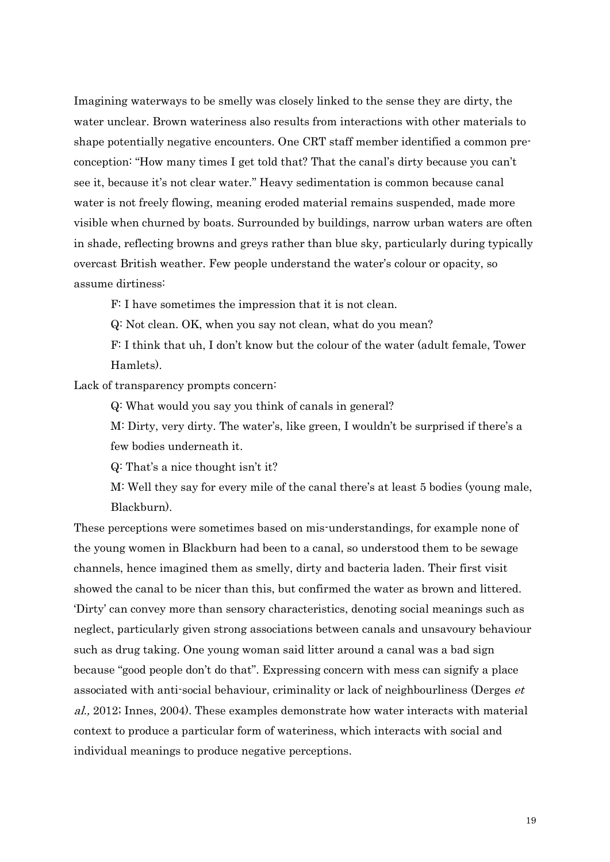Imagining waterways to be smelly was closely linked to the sense they are dirty, the water unclear. Brown wateriness also results from interactions with other materials to shape potentially negative encounters. One CRT staff member identified a common preconception: "How many times I get told that? That the canal's dirty because you can't see it, because it's not clear water." Heavy sedimentation is common because canal water is not freely flowing, meaning eroded material remains suspended, made more visible when churned by boats. Surrounded by buildings, narrow urban waters are often in shade, reflecting browns and greys rather than blue sky, particularly during typically overcast British weather. Few people understand the water's colour or opacity, so assume dirtiness:

F: I have sometimes the impression that it is not clean.

Q: Not clean. OK, when you say not clean, what do you mean?

F: I think that uh, I don't know but the colour of the water (adult female, Tower Hamlets).

Lack of transparency prompts concern:

Q: What would you say you think of canals in general?

M: Dirty, very dirty. The water's, like green, I wouldn't be surprised if there's a few bodies underneath it.

Q: That's a nice thought isn't it?

M: Well they say for every mile of the canal there's at least 5 bodies (young male, Blackburn).

These perceptions were sometimes based on mis-understandings, for example none of the young women in Blackburn had been to a canal, so understood them to be sewage channels, hence imagined them as smelly, dirty and bacteria laden. Their first visit showed the canal to be nicer than this, but confirmed the water as brown and littered. 'Dirty' can convey more than sensory characteristics, denoting social meanings such as neglect, particularly given strong associations between canals and unsavoury behaviour such as drug taking. One young woman said litter around a canal was a bad sign because "good people don't do that". Expressing concern with mess can signify a place associated with anti-social behaviour, criminality or lack of neighbourliness (Derges et al., 2012; Innes, 2004). These examples demonstrate how water interacts with material context to produce a particular form of wateriness, which interacts with social and individual meanings to produce negative perceptions.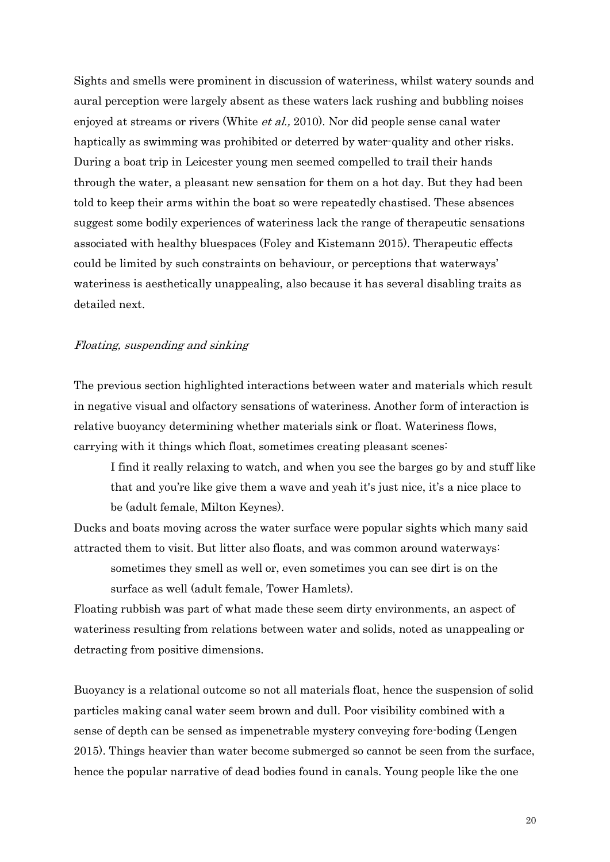Sights and smells were prominent in discussion of wateriness, whilst watery sounds and aural perception were largely absent as these waters lack rushing and bubbling noises enjoyed at streams or rivers (White *et al.*, 2010). Nor did people sense canal water haptically as swimming was prohibited or deterred by water-quality and other risks. During a boat trip in Leicester young men seemed compelled to trail their hands through the water, a pleasant new sensation for them on a hot day. But they had been told to keep their arms within the boat so were repeatedly chastised. These absences suggest some bodily experiences of wateriness lack the range of therapeutic sensations associated with healthy bluespaces (Foley and Kistemann 2015). Therapeutic effects could be limited by such constraints on behaviour, or perceptions that waterways' wateriness is aesthetically unappealing, also because it has several disabling traits as detailed next.

## Floating, suspending and sinking

The previous section highlighted interactions between water and materials which result in negative visual and olfactory sensations of wateriness. Another form of interaction is relative buoyancy determining whether materials sink or float. Wateriness flows, carrying with it things which float, sometimes creating pleasant scenes:

I find it really relaxing to watch, and when you see the barges go by and stuff like that and you're like give them a wave and yeah it's just nice, it's a nice place to be (adult female, Milton Keynes).

Ducks and boats moving across the water surface were popular sights which many said attracted them to visit. But litter also floats, and was common around waterways:

sometimes they smell as well or, even sometimes you can see dirt is on the surface as well (adult female, Tower Hamlets).

Floating rubbish was part of what made these seem dirty environments, an aspect of wateriness resulting from relations between water and solids, noted as unappealing or detracting from positive dimensions.

Buoyancy is a relational outcome so not all materials float, hence the suspension of solid particles making canal water seem brown and dull. Poor visibility combined with a sense of depth can be sensed as impenetrable mystery conveying fore-boding (Lengen 2015). Things heavier than water become submerged so cannot be seen from the surface, hence the popular narrative of dead bodies found in canals. Young people like the one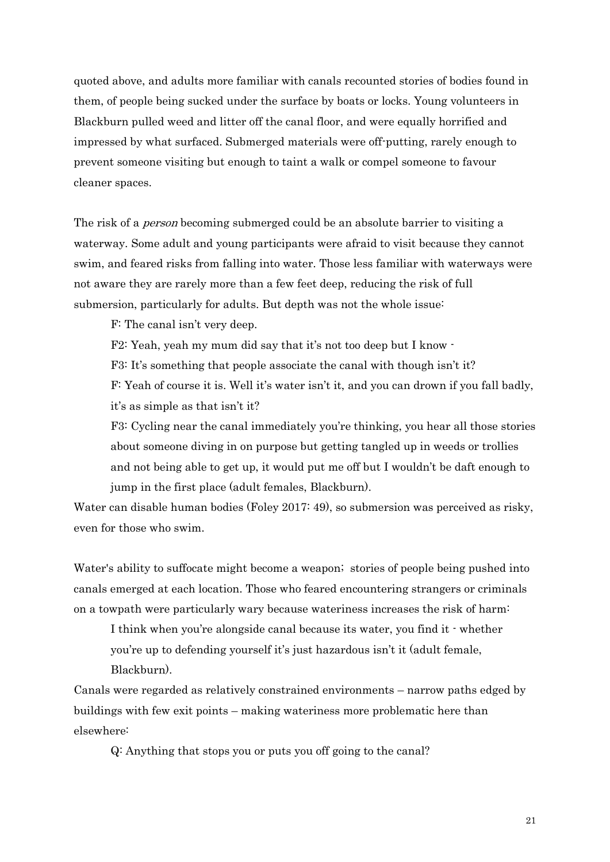quoted above, and adults more familiar with canals recounted stories of bodies found in them, of people being sucked under the surface by boats or locks. Young volunteers in Blackburn pulled weed and litter off the canal floor, and were equally horrified and impressed by what surfaced. Submerged materials were off-putting, rarely enough to prevent someone visiting but enough to taint a walk or compel someone to favour cleaner spaces.

The risk of a *person* becoming submerged could be an absolute barrier to visiting a waterway. Some adult and young participants were afraid to visit because they cannot swim, and feared risks from falling into water. Those less familiar with waterways were not aware they are rarely more than a few feet deep, reducing the risk of full submersion, particularly for adults. But depth was not the whole issue:

F: The canal isn't very deep.

F2: Yeah, yeah my mum did say that it's not too deep but I know -

F3: It's something that people associate the canal with though isn't it?

F: Yeah of course it is. Well it's water isn't it, and you can drown if you fall badly, it's as simple as that isn't it?

F3: Cycling near the canal immediately you're thinking, you hear all those stories about someone diving in on purpose but getting tangled up in weeds or trollies and not being able to get up, it would put me off but I wouldn't be daft enough to jump in the first place (adult females, Blackburn).

Water can disable human bodies (Foley 2017: 49), so submersion was perceived as risky, even for those who swim.

Water's ability to suffocate might become a weapon; stories of people being pushed into canals emerged at each location. Those who feared encountering strangers or criminals on a towpath were particularly wary because wateriness increases the risk of harm:

I think when you're alongside canal because its water, you find it - whether you're up to defending yourself it's just hazardous isn't it (adult female, Blackburn).

Canals were regarded as relatively constrained environments – narrow paths edged by buildings with few exit points – making wateriness more problematic here than elsewhere:

Q: Anything that stops you or puts you off going to the canal?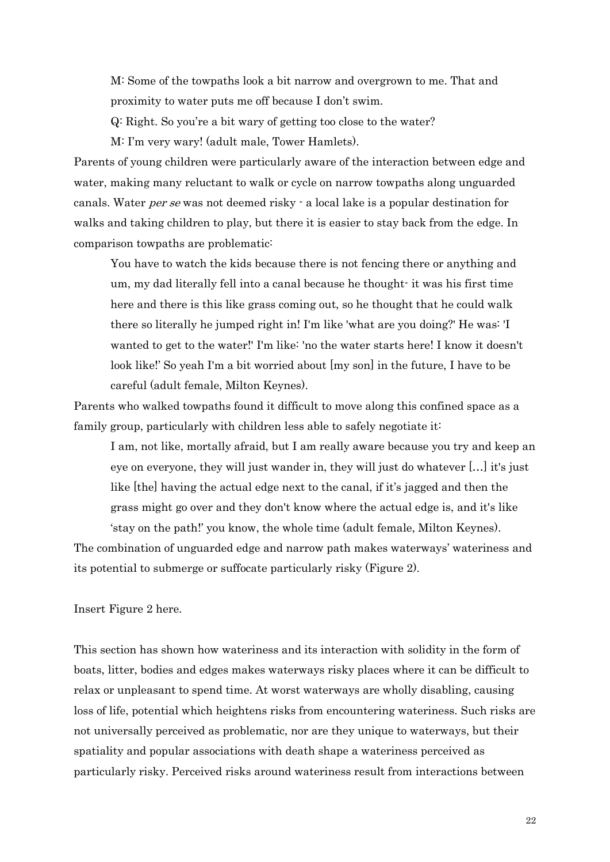M: Some of the towpaths look a bit narrow and overgrown to me. That and proximity to water puts me off because I don't swim.

Q: Right. So you're a bit wary of getting too close to the water?

M: I'm very wary! (adult male, Tower Hamlets).

Parents of young children were particularly aware of the interaction between edge and water, making many reluctant to walk or cycle on narrow towpaths along unguarded canals. Water *per se* was not deemed risky  $\cdot$  a local lake is a popular destination for walks and taking children to play, but there it is easier to stay back from the edge. In comparison towpaths are problematic:

You have to watch the kids because there is not fencing there or anything and um, my dad literally fell into a canal because he thought- it was his first time here and there is this like grass coming out, so he thought that he could walk there so literally he jumped right in! I'm like 'what are you doing?' He was: 'I wanted to get to the water!' I'm like: 'no the water starts here! I know it doesn't look like!' So yeah I'm a bit worried about [my son] in the future, I have to be careful (adult female, Milton Keynes).

Parents who walked towpaths found it difficult to move along this confined space as a family group, particularly with children less able to safely negotiate it:

I am, not like, mortally afraid, but I am really aware because you try and keep an eye on everyone, they will just wander in, they will just do whatever […] it's just like [the] having the actual edge next to the canal, if it's jagged and then the grass might go over and they don't know where the actual edge is, and it's like 'stay on the path!' you know, the whole time (adult female, Milton Keynes).

The combination of unguarded edge and narrow path makes waterways' wateriness and its potential to submerge or suffocate particularly risky (Figure 2).

Insert Figure 2 here.

This section has shown how wateriness and its interaction with solidity in the form of boats, litter, bodies and edges makes waterways risky places where it can be difficult to relax or unpleasant to spend time. At worst waterways are wholly disabling, causing loss of life, potential which heightens risks from encountering wateriness. Such risks are not universally perceived as problematic, nor are they unique to waterways, but their spatiality and popular associations with death shape a wateriness perceived as particularly risky. Perceived risks around wateriness result from interactions between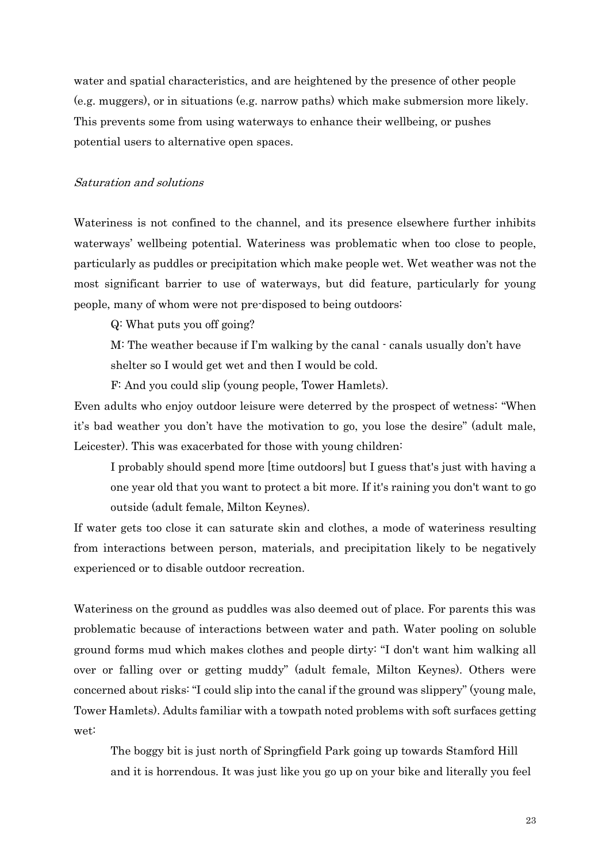water and spatial characteristics, and are heightened by the presence of other people (e.g. muggers), or in situations (e.g. narrow paths) which make submersion more likely. This prevents some from using waterways to enhance their wellbeing, or pushes potential users to alternative open spaces.

#### Saturation and solutions

Wateriness is not confined to the channel, and its presence elsewhere further inhibits waterways' wellbeing potential. Wateriness was problematic when too close to people, particularly as puddles or precipitation which make people wet. Wet weather was not the most significant barrier to use of waterways, but did feature, particularly for young people, many of whom were not pre-disposed to being outdoors:

Q: What puts you off going?

 M: The weather because if I'm walking by the canal - canals usually don't have shelter so I would get wet and then I would be cold.

F: And you could slip (young people, Tower Hamlets).

Even adults who enjoy outdoor leisure were deterred by the prospect of wetness: "When it's bad weather you don't have the motivation to go, you lose the desire" (adult male, Leicester). This was exacerbated for those with young children:

I probably should spend more [time outdoors] but I guess that's just with having a one year old that you want to protect a bit more. If it's raining you don't want to go outside (adult female, Milton Keynes).

If water gets too close it can saturate skin and clothes, a mode of wateriness resulting from interactions between person, materials, and precipitation likely to be negatively experienced or to disable outdoor recreation.

Wateriness on the ground as puddles was also deemed out of place. For parents this was problematic because of interactions between water and path. Water pooling on soluble ground forms mud which makes clothes and people dirty: "I don't want him walking all over or falling over or getting muddy" (adult female, Milton Keynes). Others were concerned about risks: "I could slip into the canal if the ground was slippery" (young male, Tower Hamlets). Adults familiar with a towpath noted problems with soft surfaces getting wet:

 The boggy bit is just north of Springfield Park going up towards Stamford Hill and it is horrendous. It was just like you go up on your bike and literally you feel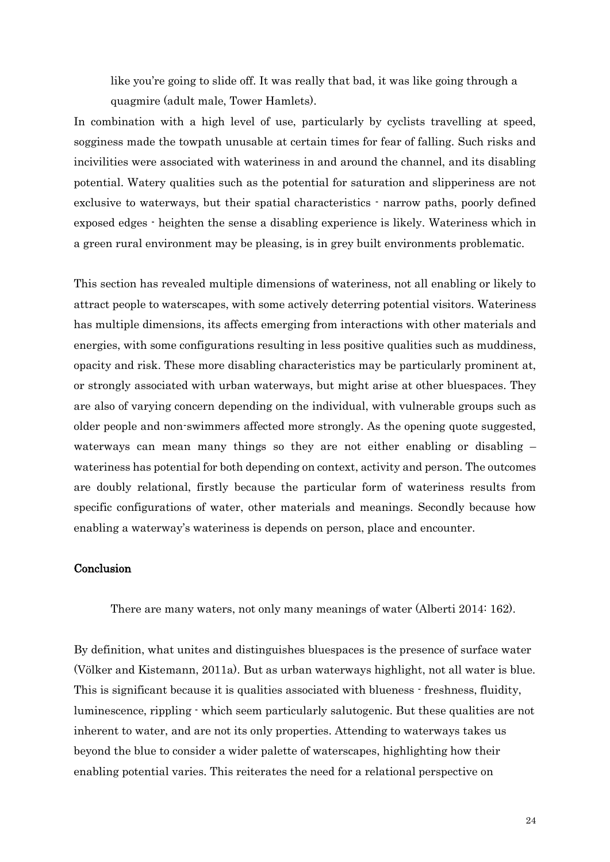like you're going to slide off. It was really that bad, it was like going through a quagmire (adult male, Tower Hamlets).

In combination with a high level of use, particularly by cyclists travelling at speed, sogginess made the towpath unusable at certain times for fear of falling. Such risks and incivilities were associated with wateriness in and around the channel, and its disabling potential. Watery qualities such as the potential for saturation and slipperiness are not exclusive to waterways, but their spatial characteristics - narrow paths, poorly defined exposed edges - heighten the sense a disabling experience is likely. Wateriness which in a green rural environment may be pleasing, is in grey built environments problematic.

This section has revealed multiple dimensions of wateriness, not all enabling or likely to attract people to waterscapes, with some actively deterring potential visitors. Wateriness has multiple dimensions, its affects emerging from interactions with other materials and energies, with some configurations resulting in less positive qualities such as muddiness, opacity and risk. These more disabling characteristics may be particularly prominent at, or strongly associated with urban waterways, but might arise at other bluespaces. They are also of varying concern depending on the individual, with vulnerable groups such as older people and non-swimmers affected more strongly. As the opening quote suggested, waterways can mean many things so they are not either enabling or disabling – wateriness has potential for both depending on context, activity and person. The outcomes are doubly relational, firstly because the particular form of wateriness results from specific configurations of water, other materials and meanings. Secondly because how enabling a waterway's wateriness is depends on person, place and encounter.

## Conclusion

There are many waters, not only many meanings of water (Alberti 2014: 162).

By definition, what unites and distinguishes bluespaces is the presence of surface water (Völker and Kistemann, 2011a). But as urban waterways highlight, not all water is blue. This is significant because it is qualities associated with blueness - freshness, fluidity, luminescence, rippling - which seem particularly salutogenic. But these qualities are not inherent to water, and are not its only properties. Attending to waterways takes us beyond the blue to consider a wider palette of waterscapes, highlighting how their enabling potential varies. This reiterates the need for a relational perspective on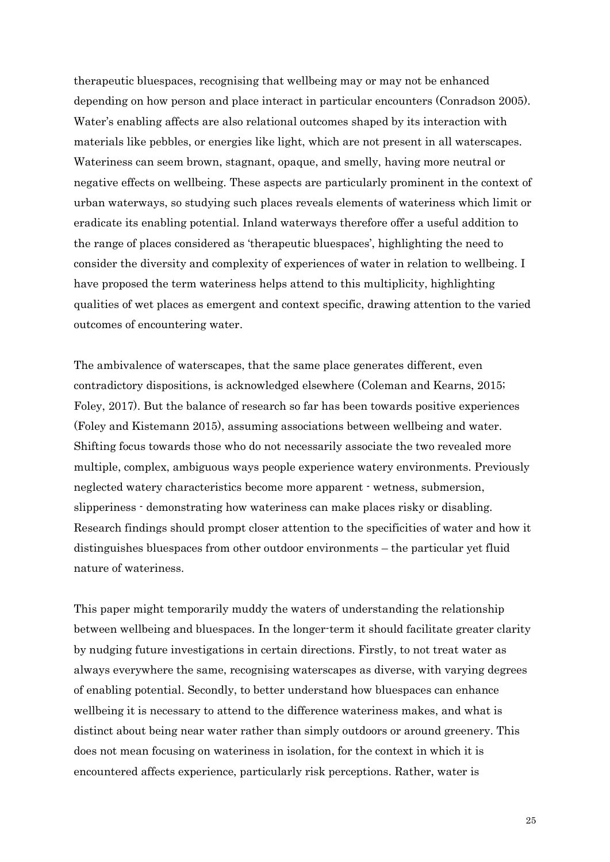therapeutic bluespaces, recognising that wellbeing may or may not be enhanced depending on how person and place interact in particular encounters (Conradson 2005). Water's enabling affects are also relational outcomes shaped by its interaction with materials like pebbles, or energies like light, which are not present in all waterscapes. Wateriness can seem brown, stagnant, opaque, and smelly, having more neutral or negative effects on wellbeing. These aspects are particularly prominent in the context of urban waterways, so studying such places reveals elements of wateriness which limit or eradicate its enabling potential. Inland waterways therefore offer a useful addition to the range of places considered as 'therapeutic bluespaces', highlighting the need to consider the diversity and complexity of experiences of water in relation to wellbeing. I have proposed the term wateriness helps attend to this multiplicity, highlighting qualities of wet places as emergent and context specific, drawing attention to the varied outcomes of encountering water.

The ambivalence of waterscapes, that the same place generates different, even contradictory dispositions, is acknowledged elsewhere (Coleman and Kearns, 2015; Foley, 2017). But the balance of research so far has been towards positive experiences (Foley and Kistemann 2015), assuming associations between wellbeing and water. Shifting focus towards those who do not necessarily associate the two revealed more multiple, complex, ambiguous ways people experience watery environments. Previously neglected watery characteristics become more apparent - wetness, submersion, slipperiness - demonstrating how wateriness can make places risky or disabling. Research findings should prompt closer attention to the specificities of water and how it distinguishes bluespaces from other outdoor environments – the particular yet fluid nature of wateriness.

This paper might temporarily muddy the waters of understanding the relationship between wellbeing and bluespaces. In the longer-term it should facilitate greater clarity by nudging future investigations in certain directions. Firstly, to not treat water as always everywhere the same, recognising waterscapes as diverse, with varying degrees of enabling potential. Secondly, to better understand how bluespaces can enhance wellbeing it is necessary to attend to the difference wateriness makes, and what is distinct about being near water rather than simply outdoors or around greenery. This does not mean focusing on wateriness in isolation, for the context in which it is encountered affects experience, particularly risk perceptions. Rather, water is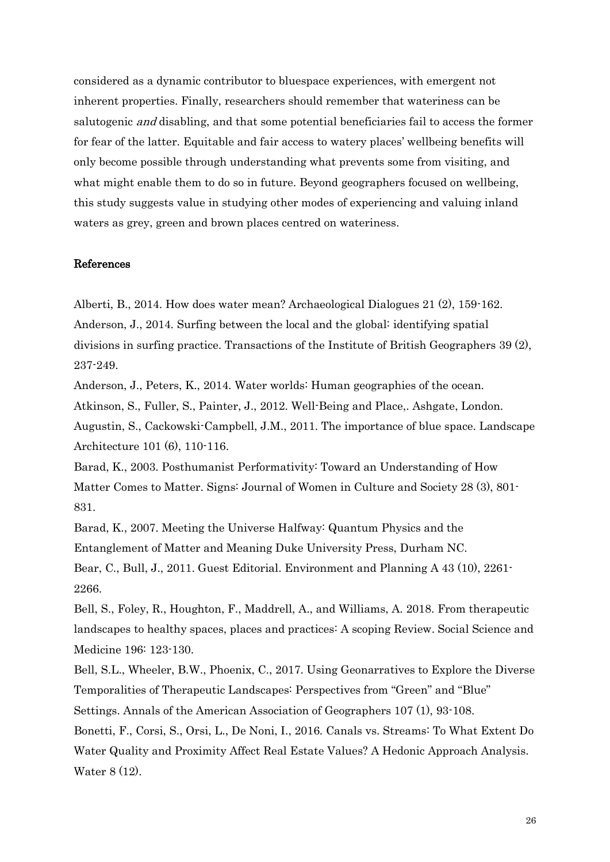considered as a dynamic contributor to bluespace experiences, with emergent not inherent properties. Finally, researchers should remember that wateriness can be salutogenic and disabling, and that some potential beneficiaries fail to access the former for fear of the latter. Equitable and fair access to watery places' wellbeing benefits will only become possible through understanding what prevents some from visiting, and what might enable them to do so in future. Beyond geographers focused on wellbeing, this study suggests value in studying other modes of experiencing and valuing inland waters as grey, green and brown places centred on wateriness.

## References

2266.

Alberti, B., 2014. How does water mean? Archaeological Dialogues 21 (2), 159-162. Anderson, J., 2014. Surfing between the local and the global: identifying spatial divisions in surfing practice. Transactions of the Institute of British Geographers 39 (2), 237-249.

Anderson, J., Peters, K., 2014. Water worlds: Human geographies of the ocean.

Atkinson, S., Fuller, S., Painter, J., 2012. Well-Being and Place,. Ashgate, London.

Augustin, S., Cackowski-Campbell, J.M., 2011. The importance of blue space. Landscape Architecture 101 (6), 110-116.

Barad, K., 2003. Posthumanist Performativity: Toward an Understanding of How Matter Comes to Matter. Signs: Journal of Women in Culture and Society 28 (3), 801- 831.

Barad, K., 2007. Meeting the Universe Halfway: Quantum Physics and the Entanglement of Matter and Meaning Duke University Press, Durham NC. Bear, C., Bull, J., 2011. Guest Editorial. Environment and Planning A 43 (10), 2261-

Bell, S., Foley, R., Houghton, F., Maddrell, A., and Williams, A. 2018. From therapeutic landscapes to healthy spaces, places and practices: A scoping Review. Social Science and Medicine 196: 123-130.

Bell, S.L., Wheeler, B.W., Phoenix, C., 2017. Using Geonarratives to Explore the Diverse Temporalities of Therapeutic Landscapes: Perspectives from "Green" and "Blue"

Settings. Annals of the American Association of Geographers 107 (1), 93-108.

Bonetti, F., Corsi, S., Orsi, L., De Noni, I., 2016. Canals vs. Streams: To What Extent Do Water Quality and Proximity Affect Real Estate Values? A Hedonic Approach Analysis. Water 8 (12).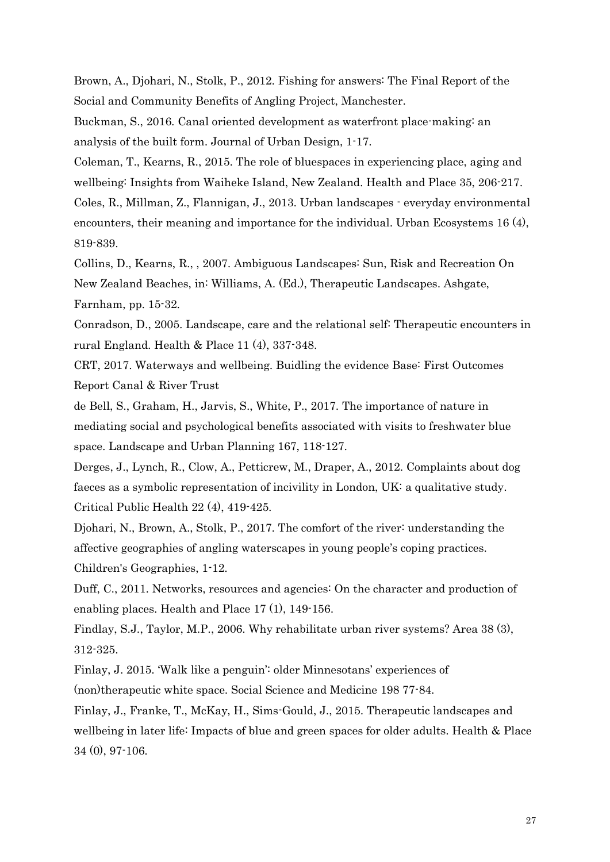Brown, A., Djohari, N., Stolk, P., 2012. Fishing for answers: The Final Report of the Social and Community Benefits of Angling Project, Manchester.

Buckman, S., 2016. Canal oriented development as waterfront place-making: an analysis of the built form. Journal of Urban Design, 1-17.

Coleman, T., Kearns, R., 2015. The role of bluespaces in experiencing place, aging and wellbeing: Insights from Waiheke Island, New Zealand. Health and Place 35, 206-217. Coles, R., Millman, Z., Flannigan, J., 2013. Urban landscapes - everyday environmental encounters, their meaning and importance for the individual. Urban Ecosystems 16 (4), 819-839.

Collins, D., Kearns, R., , 2007. Ambiguous Landscapes: Sun, Risk and Recreation On New Zealand Beaches, in: Williams, A. (Ed.), Therapeutic Landscapes. Ashgate, Farnham, pp. 15-32.

Conradson, D., 2005. Landscape, care and the relational self: Therapeutic encounters in rural England. Health & Place 11 (4), 337-348.

CRT, 2017. Waterways and wellbeing. Buidling the evidence Base: First Outcomes Report Canal & River Trust

de Bell, S., Graham, H., Jarvis, S., White, P., 2017. The importance of nature in mediating social and psychological benefits associated with visits to freshwater blue space. Landscape and Urban Planning 167, 118-127.

Derges, J., Lynch, R., Clow, A., Petticrew, M., Draper, A., 2012. Complaints about dog faeces as a symbolic representation of incivility in London, UK: a qualitative study. Critical Public Health 22 (4), 419-425.

Djohari, N., Brown, A., Stolk, P., 2017. The comfort of the river: understanding the affective geographies of angling waterscapes in young people's coping practices. Children's Geographies, 1-12.

Duff, C., 2011. Networks, resources and agencies: On the character and production of enabling places. Health and Place 17 (1), 149-156.

Findlay, S.J., Taylor, M.P., 2006. Why rehabilitate urban river systems? Area 38 (3), 312-325.

Finlay, J. 2015. 'Walk like a penguin': older Minnesotans' experiences of (non)therapeutic white space. Social Science and Medicine 198 77-84.

Finlay, J., Franke, T., McKay, H., Sims-Gould, J., 2015. Therapeutic landscapes and wellbeing in later life: Impacts of blue and green spaces for older adults. Health & Place 34 (0), 97-106.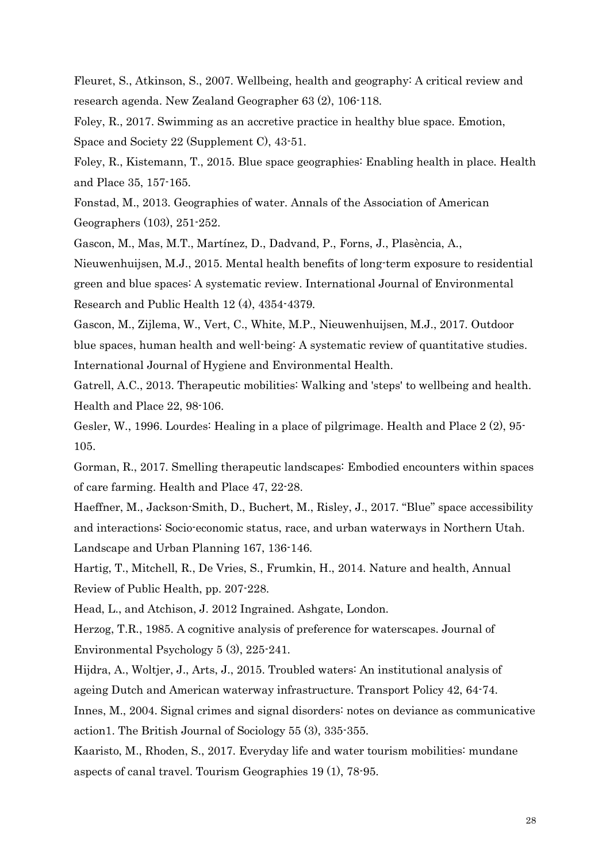Fleuret, S., Atkinson, S., 2007. Wellbeing, health and geography: A critical review and research agenda. New Zealand Geographer 63 (2), 106-118.

Foley, R., 2017. Swimming as an accretive practice in healthy blue space. Emotion, Space and Society 22 (Supplement C), 43-51.

Foley, R., Kistemann, T., 2015. Blue space geographies: Enabling health in place. Health and Place 35, 157-165.

Fonstad, M., 2013. Geographies of water. Annals of the Association of American Geographers (103), 251-252.

Gascon, M., Mas, M.T., Martínez, D., Dadvand, P., Forns, J., Plasència, A.,

Nieuwenhuijsen, M.J., 2015. Mental health benefits of long-term exposure to residential green and blue spaces: A systematic review. International Journal of Environmental Research and Public Health 12 (4), 4354-4379.

Gascon, M., Zijlema, W., Vert, C., White, M.P., Nieuwenhuijsen, M.J., 2017. Outdoor blue spaces, human health and well-being: A systematic review of quantitative studies. International Journal of Hygiene and Environmental Health.

Gatrell, A.C., 2013. Therapeutic mobilities: Walking and 'steps' to wellbeing and health. Health and Place 22, 98-106.

Gesler, W., 1996. Lourdes: Healing in a place of pilgrimage. Health and Place 2 (2), 95- 105.

Gorman, R., 2017. Smelling therapeutic landscapes: Embodied encounters within spaces of care farming. Health and Place 47, 22-28.

Haeffner, M., Jackson-Smith, D., Buchert, M., Risley, J., 2017. "Blue" space accessibility and interactions: Socio-economic status, race, and urban waterways in Northern Utah. Landscape and Urban Planning 167, 136-146.

Hartig, T., Mitchell, R., De Vries, S., Frumkin, H., 2014. Nature and health, Annual Review of Public Health, pp. 207-228.

Head, L., and Atchison, J. 2012 Ingrained. Ashgate, London.

Herzog, T.R., 1985. A cognitive analysis of preference for waterscapes. Journal of Environmental Psychology 5 (3), 225-241.

Hijdra, A., Woltjer, J., Arts, J., 2015. Troubled waters: An institutional analysis of ageing Dutch and American waterway infrastructure. Transport Policy 42, 64-74.

Innes, M., 2004. Signal crimes and signal disorders: notes on deviance as communicative action1. The British Journal of Sociology 55 (3), 335-355.

Kaaristo, M., Rhoden, S., 2017. Everyday life and water tourism mobilities: mundane aspects of canal travel. Tourism Geographies 19 (1), 78-95.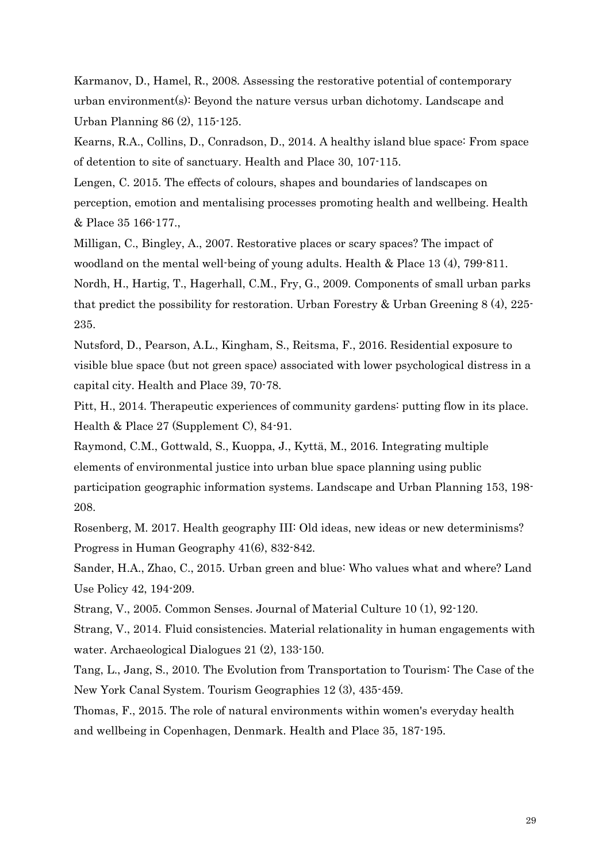Karmanov, D., Hamel, R., 2008. Assessing the restorative potential of contemporary urban environment(s): Beyond the nature versus urban dichotomy. Landscape and Urban Planning 86 (2), 115-125.

Kearns, R.A., Collins, D., Conradson, D., 2014. A healthy island blue space: From space of detention to site of sanctuary. Health and Place 30, 107-115.

Lengen, C. 2015. The effects of colours, shapes and boundaries of landscapes on perception, emotion and mentalising processes promoting health and wellbeing. Health & Place 35 166-177.,

Milligan, C., Bingley, A., 2007. Restorative places or scary spaces? The impact of woodland on the mental well-being of young adults. Health & Place 13 (4), 799-811. Nordh, H., Hartig, T., Hagerhall, C.M., Fry, G., 2009. Components of small urban parks that predict the possibility for restoration. Urban Forestry & Urban Greening 8 (4), 225- 235.

Nutsford, D., Pearson, A.L., Kingham, S., Reitsma, F., 2016. Residential exposure to visible blue space (but not green space) associated with lower psychological distress in a capital city. Health and Place 39, 70-78.

Pitt, H., 2014. Therapeutic experiences of community gardens: putting flow in its place. Health & Place 27 (Supplement C), 84-91.

Raymond, C.M., Gottwald, S., Kuoppa, J., Kyttä, M., 2016. Integrating multiple elements of environmental justice into urban blue space planning using public participation geographic information systems. Landscape and Urban Planning 153, 198- 208.

Rosenberg, M. 2017. Health geography III: Old ideas, new ideas or new determinisms? Progress in Human Geography 41(6), 832-842.

Sander, H.A., Zhao, C., 2015. Urban green and blue: Who values what and where? Land Use Policy 42, 194-209.

Strang, V., 2005. Common Senses. Journal of Material Culture 10 (1), 92-120.

Strang, V., 2014. Fluid consistencies. Material relationality in human engagements with water. Archaeological Dialogues 21 (2), 133-150.

Tang, L., Jang, S., 2010. The Evolution from Transportation to Tourism: The Case of the New York Canal System. Tourism Geographies 12 (3), 435-459.

Thomas, F., 2015. The role of natural environments within women's everyday health and wellbeing in Copenhagen, Denmark. Health and Place 35, 187-195.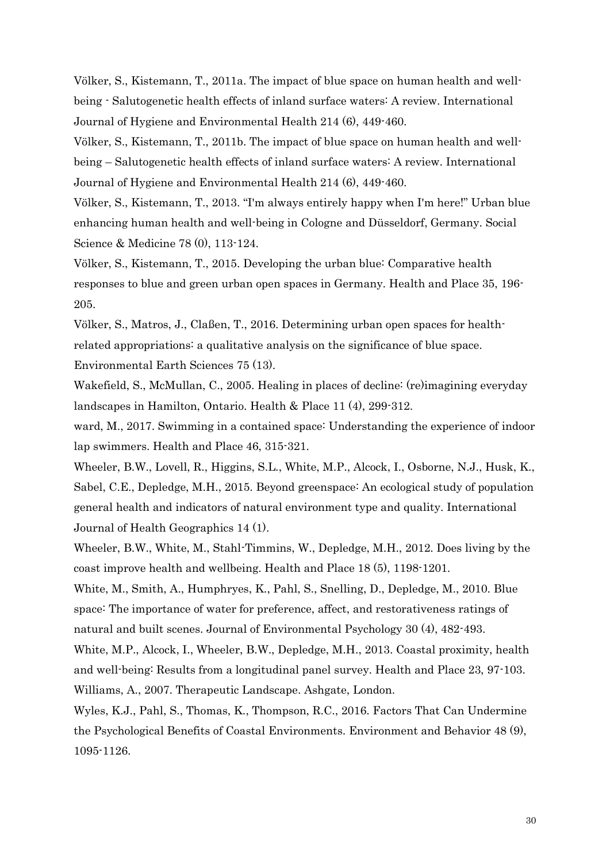Völker, S., Kistemann, T., 2011a. The impact of blue space on human health and wellbeing - Salutogenetic health effects of inland surface waters: A review. International Journal of Hygiene and Environmental Health 214 (6), 449-460.

Völker, S., Kistemann, T., 2011b. The impact of blue space on human health and wellbeing – Salutogenetic health effects of inland surface waters: A review. International Journal of Hygiene and Environmental Health 214 (6), 449-460.

Völker, S., Kistemann, T., 2013. "I'm always entirely happy when I'm here!" Urban blue enhancing human health and well-being in Cologne and Düsseldorf, Germany. Social Science & Medicine 78 (0), 113-124.

Völker, S., Kistemann, T., 2015. Developing the urban blue: Comparative health responses to blue and green urban open spaces in Germany. Health and Place 35, 196- 205.

Völker, S., Matros, J., Claßen, T., 2016. Determining urban open spaces for healthrelated appropriations: a qualitative analysis on the significance of blue space. Environmental Earth Sciences 75 (13).

Wakefield, S., McMullan, C., 2005. Healing in places of decline: (re)imagining everyday landscapes in Hamilton, Ontario. Health & Place 11 (4), 299-312.

ward, M., 2017. Swimming in a contained space: Understanding the experience of indoor lap swimmers. Health and Place 46, 315-321.

Wheeler, B.W., Lovell, R., Higgins, S.L., White, M.P., Alcock, I., Osborne, N.J., Husk, K., Sabel, C.E., Depledge, M.H., 2015. Beyond greenspace: An ecological study of population general health and indicators of natural environment type and quality. International Journal of Health Geographics 14 (1).

Wheeler, B.W., White, M., Stahl-Timmins, W., Depledge, M.H., 2012. Does living by the coast improve health and wellbeing. Health and Place 18 (5), 1198-1201.

White, M., Smith, A., Humphryes, K., Pahl, S., Snelling, D., Depledge, M., 2010. Blue space: The importance of water for preference, affect, and restorativeness ratings of natural and built scenes. Journal of Environmental Psychology 30 (4), 482-493.

White, M.P., Alcock, I., Wheeler, B.W., Depledge, M.H., 2013. Coastal proximity, health and well-being: Results from a longitudinal panel survey. Health and Place 23, 97-103. Williams, A., 2007. Therapeutic Landscape. Ashgate, London.

Wyles, K.J., Pahl, S., Thomas, K., Thompson, R.C., 2016. Factors That Can Undermine the Psychological Benefits of Coastal Environments. Environment and Behavior 48 (9), 1095-1126.